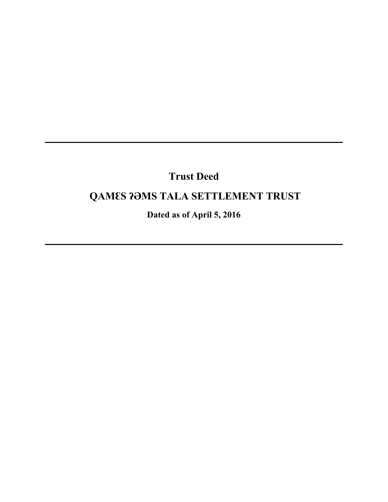# **Trust Deed**

# **QAMƐS ʔƏMS TALA SETTLEMENT TRUST**

**Dated as of April 5, 2016**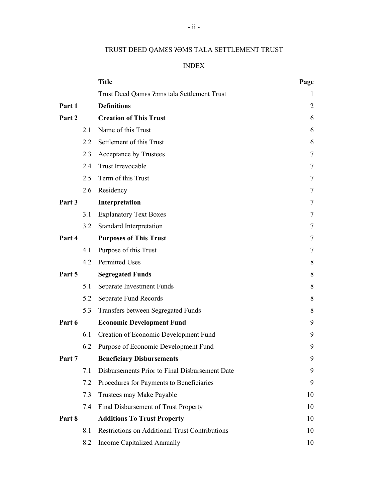# TRUST DEED QAMƐS ʔƏMS TALA SETTLEMENT TRUST

## INDEX

|        |     | <b>Title</b>                                          | Page |
|--------|-----|-------------------------------------------------------|------|
|        |     | Trust Deed Qames ?ams tala Settlement Trust           | 1    |
| Part 1 |     | <b>Definitions</b>                                    | 2    |
| Part 2 |     | <b>Creation of This Trust</b>                         | 6    |
|        | 2.1 | Name of this Trust                                    | 6    |
|        | 2.2 | Settlement of this Trust                              | 6    |
|        | 2.3 | Acceptance by Trustees                                | 7    |
|        | 2.4 | Trust Irrevocable                                     | 7    |
|        | 2.5 | Term of this Trust                                    | 7    |
|        | 2.6 | Residency                                             | 7    |
| Part 3 |     | Interpretation                                        | 7    |
|        | 3.1 | <b>Explanatory Text Boxes</b>                         | 7    |
|        | 3.2 | Standard Interpretation                               | Ί    |
| Part 4 |     | <b>Purposes of This Trust</b>                         | 7    |
|        | 4.1 | Purpose of this Trust                                 | 7    |
|        | 4.2 | <b>Permitted Uses</b>                                 | 8    |
| Part 5 |     | <b>Segregated Funds</b>                               | 8    |
|        | 5.1 | Separate Investment Funds                             | 8    |
|        | 5.2 | Separate Fund Records                                 | 8    |
|        | 5.3 | Transfers between Segregated Funds                    | 8    |
| Part 6 |     | <b>Economic Development Fund</b>                      | 9    |
|        | 6.1 | Creation of Economic Development Fund                 | 9    |
|        | 6.2 | Purpose of Economic Development Fund                  | 9    |
| Part 7 |     | <b>Beneficiary Disbursements</b>                      | 9    |
|        | 7.1 | Disbursements Prior to Final Disbursement Date        | 9    |
|        | 7.2 | Procedures for Payments to Beneficiaries              | 9    |
|        | 7.3 | Trustees may Make Payable                             | 10   |
|        | 7.4 | Final Disbursement of Trust Property                  | 10   |
| Part 8 |     | <b>Additions To Trust Property</b>                    | 10   |
|        | 8.1 | <b>Restrictions on Additional Trust Contributions</b> | 10   |
|        | 8.2 | Income Capitalized Annually                           | 10   |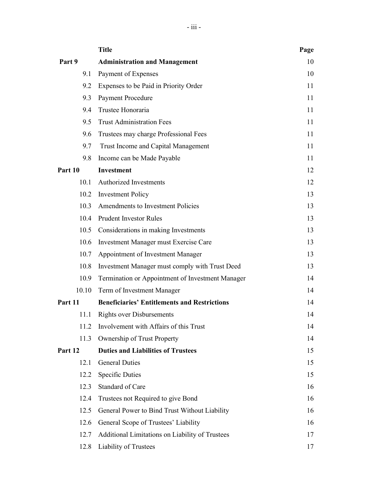|         | <b>Title</b>                                        | Page |
|---------|-----------------------------------------------------|------|
| Part 9  | <b>Administration and Management</b>                | 10   |
| 9.1     | Payment of Expenses                                 | 10   |
| 9.2     | Expenses to be Paid in Priority Order               | 11   |
| 9.3     | <b>Payment Procedure</b>                            | 11   |
| 9.4     | Trustee Honoraria                                   | 11   |
| 9.5     | <b>Trust Administration Fees</b>                    | 11   |
| 9.6     | Trustees may charge Professional Fees               | 11   |
| 9.7     | Trust Income and Capital Management                 | 11   |
| 9.8     | Income can be Made Payable                          | 11   |
| Part 10 | <b>Investment</b>                                   | 12   |
| 10.1    | <b>Authorized Investments</b>                       | 12   |
| 10.2    | <b>Investment Policy</b>                            | 13   |
| 10.3    | Amendments to Investment Policies                   | 13   |
| 10.4    | <b>Prudent Investor Rules</b>                       | 13   |
| 10.5    | Considerations in making Investments                | 13   |
| 10.6    | Investment Manager must Exercise Care               | 13   |
| 10.7    | Appointment of Investment Manager                   | 13   |
| 10.8    | Investment Manager must comply with Trust Deed      | 13   |
| 10.9    | Termination or Appointment of Investment Manager    | 14   |
| 10.10   | Term of Investment Manager                          | 14   |
| Part 11 | <b>Beneficiaries' Entitlements and Restrictions</b> | 14   |
| 11.1    | <b>Rights over Disbursements</b>                    | 14   |
| 11.2    | Involvement with Affairs of this Trust              | 14   |
| 11.3    | Ownership of Trust Property                         | 14   |
| Part 12 | <b>Duties and Liabilities of Trustees</b>           | 15   |
| 12.1    | <b>General Duties</b>                               | 15   |
| 12.2    | <b>Specific Duties</b>                              | 15   |
| 12.3    | Standard of Care                                    | 16   |
| 12.4    | Trustees not Required to give Bond                  | 16   |
| 12.5    | General Power to Bind Trust Without Liability       | 16   |
| 12.6    | General Scope of Trustees' Liability                | 16   |
| 12.7    | Additional Limitations on Liability of Trustees     | 17   |
| 12.8    | Liability of Trustees                               | 17   |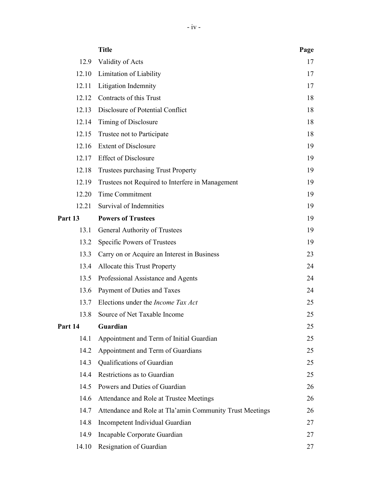|         | <b>Title</b>                                             | Page |
|---------|----------------------------------------------------------|------|
|         | 12.9 Validity of Acts                                    | 17   |
|         | 12.10 Limitation of Liability                            | 17   |
| 12.11   | Litigation Indemnity                                     | 17   |
| 12.12   | Contracts of this Trust                                  | 18   |
| 12.13   | Disclosure of Potential Conflict                         | 18   |
| 12.14   | Timing of Disclosure                                     | 18   |
| 12.15   | Trustee not to Participate                               | 18   |
|         | 12.16 Extent of Disclosure                               | 19   |
| 12.17   | <b>Effect of Disclosure</b>                              | 19   |
| 12.18   | <b>Trustees purchasing Trust Property</b>                | 19   |
| 12.19   | Trustees not Required to Interfere in Management         | 19   |
| 12.20   | Time Commitment                                          | 19   |
| 12.21   | Survival of Indemnities                                  | 19   |
| Part 13 | <b>Powers of Trustees</b>                                | 19   |
| 13.1    | General Authority of Trustees                            | 19   |
| 13.2    | Specific Powers of Trustees                              | 19   |
| 13.3    | Carry on or Acquire an Interest in Business              | 23   |
| 13.4    | Allocate this Trust Property                             | 24   |
| 13.5    | Professional Assistance and Agents                       | 24   |
| 13.6    | Payment of Duties and Taxes                              | 24   |
| 13.7    | Elections under the <i>Income Tax Act</i>                | 25   |
| 13.8    | Source of Net Taxable Income                             | 25   |
| Part 14 | Guardian                                                 | 25   |
| 14.1    | Appointment and Term of Initial Guardian                 | 25   |
| 14.2    | Appointment and Term of Guardians                        | 25   |
| 14.3    | Qualifications of Guardian                               | 25   |
| 14.4    | Restrictions as to Guardian                              | 25   |
| 14.5    | Powers and Duties of Guardian                            | 26   |
| 14.6    | Attendance and Role at Trustee Meetings                  | 26   |
| 14.7    | Attendance and Role at Tla'amin Community Trust Meetings | 26   |
| 14.8    | Incompetent Individual Guardian                          | 27   |
| 14.9    | Incapable Corporate Guardian                             | 27   |
| 14.10   | Resignation of Guardian                                  | 27   |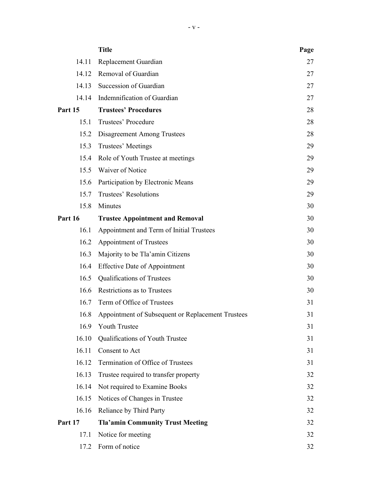|         | <b>Title</b>                                      | Page |
|---------|---------------------------------------------------|------|
| 14.11   | Replacement Guardian                              | 27   |
|         | 14.12 Removal of Guardian                         | 27   |
| 14.13   | Succession of Guardian                            | 27   |
| 14.14   | Indemnification of Guardian                       | 27   |
| Part 15 | <b>Trustees' Procedures</b>                       | 28   |
| 15.1    | Trustees' Procedure                               | 28   |
| 15.2    | Disagreement Among Trustees                       | 28   |
| 15.3    | Trustees' Meetings                                | 29   |
| 15.4    | Role of Youth Trustee at meetings                 | 29   |
|         | 15.5 Waiver of Notice                             | 29   |
| 15.6    | Participation by Electronic Means                 | 29   |
| 15.7    | Trustees' Resolutions                             | 29   |
| 15.8    | Minutes                                           | 30   |
| Part 16 | <b>Trustee Appointment and Removal</b>            | 30   |
| 16.1    | Appointment and Term of Initial Trustees          | 30   |
| 16.2    | Appointment of Trustees                           | 30   |
| 16.3    | Majority to be Tla'amin Citizens                  | 30   |
| 16.4    | <b>Effective Date of Appointment</b>              | 30   |
| 16.5    | Qualifications of Trustees                        | 30   |
| 16.6    | Restrictions as to Trustees                       | 30   |
| 16.7    | Term of Office of Trustees                        | 31   |
| 16.8    | Appointment of Subsequent or Replacement Trustees | 31   |
| 16.9    | <b>Youth Trustee</b>                              | 31   |
| 16.10   | Qualifications of Youth Trustee                   | 31   |
| 16.11   | Consent to Act                                    | 31   |
| 16.12   | Termination of Office of Trustees                 | 31   |
| 16.13   | Trustee required to transfer property             | 32   |
| 16.14   | Not required to Examine Books                     | 32   |
| 16.15   | Notices of Changes in Trustee                     | 32   |
| 16.16   | Reliance by Third Party                           | 32   |
| Part 17 | <b>Tla'amin Community Trust Meeting</b>           | 32   |
| 17.1    | Notice for meeting                                | 32   |
| 17.2    | Form of notice                                    | 32   |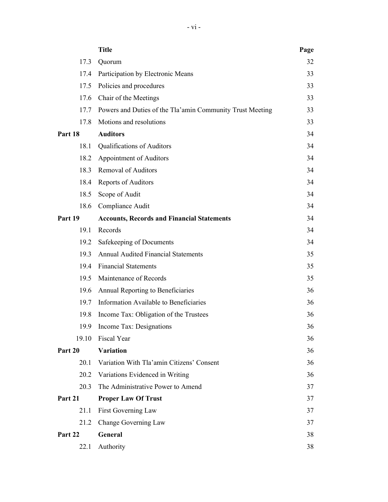|         | <b>Title</b>                                              | Page |
|---------|-----------------------------------------------------------|------|
| 17.3    | Quorum                                                    | 32   |
| 17.4    | Participation by Electronic Means                         | 33   |
| 17.5    | Policies and procedures                                   | 33   |
| 17.6    | Chair of the Meetings                                     | 33   |
| 17.7    | Powers and Duties of the Tla'amin Community Trust Meeting | 33   |
| 17.8    | Motions and resolutions                                   | 33   |
| Part 18 | <b>Auditors</b>                                           | 34   |
| 18.1    | Qualifications of Auditors                                | 34   |
| 18.2    | Appointment of Auditors                                   | 34   |
| 18.3    | <b>Removal of Auditors</b>                                | 34   |
| 18.4    | Reports of Auditors                                       | 34   |
| 18.5    | Scope of Audit                                            | 34   |
| 18.6    | Compliance Audit                                          | 34   |
| Part 19 | <b>Accounts, Records and Financial Statements</b>         | 34   |
| 19.1    | Records                                                   | 34   |
| 19.2    | Safekeeping of Documents                                  | 34   |
| 19.3    | <b>Annual Audited Financial Statements</b>                | 35   |
| 19.4    | <b>Financial Statements</b>                               | 35   |
| 19.5    | Maintenance of Records                                    | 35   |
| 19.6    | Annual Reporting to Beneficiaries                         | 36   |
| 19.7    | Information Available to Beneficiaries                    | 36   |
| 19.8    | Income Tax: Obligation of the Trustees                    | 36   |
| 19.9    | Income Tax: Designations                                  | 36   |
| 19.10   | Fiscal Year                                               | 36   |
| Part 20 | <b>Variation</b>                                          | 36   |
| 20.1    | Variation With Tla'amin Citizens' Consent                 | 36   |
| 20.2    | Variations Evidenced in Writing                           | 36   |
| 20.3    | The Administrative Power to Amend                         | 37   |
| Part 21 | <b>Proper Law Of Trust</b>                                | 37   |
| 21.1    | First Governing Law                                       | 37   |
| 21.2    | Change Governing Law                                      | 37   |
| Part 22 | General                                                   | 38   |
| 22.1    | Authority                                                 | 38   |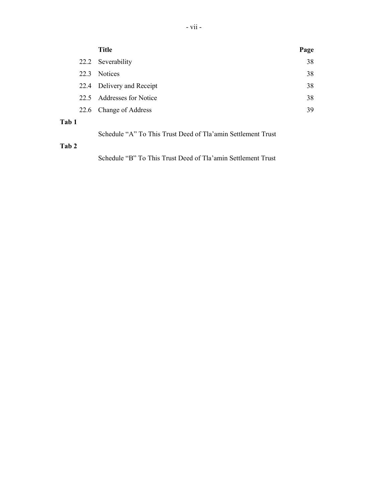|       | <b>Title</b>                | Page |
|-------|-----------------------------|------|
|       | 22.2 Severability           | 38   |
| 22.3  | <b>Notices</b>              | 38   |
|       | 22.4 Delivery and Receipt   | 38   |
| 22.5  | <b>Addresses for Notice</b> | 38   |
| 22.6  | Change of Address           | 39   |
| Tab 1 |                             |      |

| Schedule "A" To This Trust Deed of Tla'amin Settlement Trust |
|--------------------------------------------------------------|
|--------------------------------------------------------------|

## **Tab 2**

Schedule "B" To This Trust Deed of Tla'amin Settlement Trust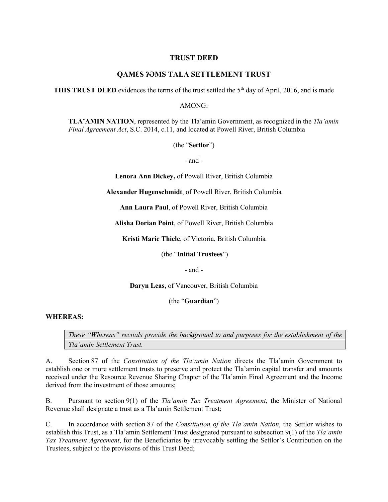## **TRUST DEED**

## **QAMƐS ʔƏMS TALA SETTLEMENT TRUST**

**THIS TRUST DEED** evidences the terms of the trust settled the  $5<sup>th</sup>$  day of April, 2016, and is made

AMONG:

**TLA'AMIN NATION**, represented by the Tla'amin Government, as recognized in the *Tla'amin Final Agreement Act*, S.C. 2014, c.11, and located at Powell River, British Columbia

(the "**Settlor**")

- and -

**Lenora Ann Dickey,** of Powell River, British Columbia

**Alexander Hugenschmidt**, of Powell River, British Columbia

**Ann Laura Paul**, of Powell River, British Columbia

**Alisha Dorian Point**, of Powell River, British Columbia

**Kristi Marie Thiele**, of Victoria, British Columbia

(the "**Initial Trustees**")

- and -

**Daryn Leas,** of Vancouver, British Columbia

(the "**Guardian**")

#### **WHEREAS:**

*These "Whereas" recitals provide the background to and purposes for the establishment of the Tla'amin Settlement Trust.* 

A. Section 87 of the *Constitution of the Tla'amin Nation* directs the Tla'amin Government to establish one or more settlement trusts to preserve and protect the Tla'amin capital transfer and amounts received under the Resource Revenue Sharing Chapter of the Tla'amin Final Agreement and the Income derived from the investment of those amounts;

B. Pursuant to section 9(1) of the *Tla'amin Tax Treatment Agreement*, the Minister of National Revenue shall designate a trust as a Tla'amin Settlement Trust;

C. In accordance with section 87 of the *Constitution of the Tla'amin Nation*, the Settlor wishes to establish this Trust, as a Tla'amin Settlement Trust designated pursuant to subsection 9(1) of the *Tla'amin Tax Treatment Agreement*, for the Beneficiaries by irrevocably settling the Settlor's Contribution on the Trustees, subject to the provisions of this Trust Deed;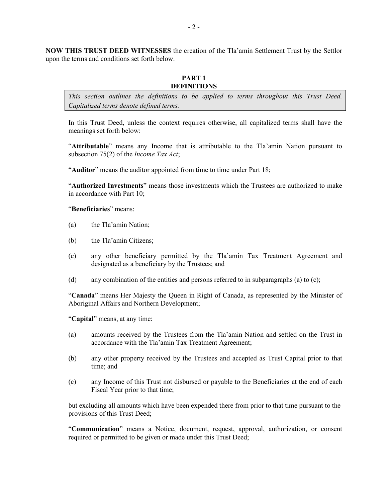**NOW THIS TRUST DEED WITNESSES** the creation of the Tla'amin Settlement Trust by the Settlor upon the terms and conditions set forth below.

#### **PART 1 DEFINITIONS**

*This section outlines the definitions to be applied to terms throughout this Trust Deed. Capitalized terms denote defined terms.*

In this Trust Deed, unless the context requires otherwise, all capitalized terms shall have the meanings set forth below:

"**Attributable**" means any Income that is attributable to the Tla'amin Nation pursuant to subsection 75(2) of the *Income Tax Act*;

"**Auditor**" means the auditor appointed from time to time under [Part](#page-40-0) 18;

"**Authorized Investments**" means those investments which the Trustees are authorized to make in accordance with [Part](#page-18-0) 10;

"**Beneficiaries**" means:

- (a) the Tla'amin Nation;
- (b) the Tla'amin Citizens;
- (c) any other beneficiary permitted by the Tla'amin Tax Treatment Agreement and designated as a beneficiary by the Trustees; and
- (d) any combination of the entities and persons referred to in subparagraphs (a) to (c);

"**Canada**" means Her Majesty the Queen in Right of Canada, as represented by the Minister of Aboriginal Affairs and Northern Development;

"**Capital**" means, at any time:

- (a) amounts received by the Trustees from the Tla'amin Nation and settled on the Trust in accordance with the Tla'amin Tax Treatment Agreement;
- (b) any other property received by the Trustees and accepted as Trust Capital prior to that time; and
- (c) any Income of this Trust not disbursed or payable to the Beneficiaries at the end of each Fiscal Year prior to that time;

but excluding all amounts which have been expended there from prior to that time pursuant to the provisions of this Trust Deed;

"**Communication**" means a Notice, document, request, approval, authorization, or consent required or permitted to be given or made under this Trust Deed;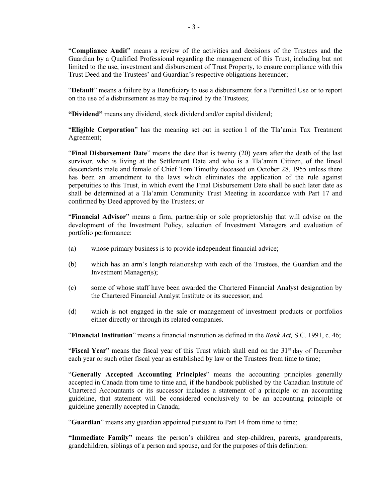"**Compliance Audit**" means a review of the activities and decisions of the Trustees and the Guardian by a Qualified Professional regarding the management of this Trust, including but not limited to the use, investment and disbursement of Trust Property, to ensure compliance with this Trust Deed and the Trustees' and Guardian's respective obligations hereunder;

"**Default**" means a failure by a Beneficiary to use a disbursement for a Permitted Use or to report on the use of a disbursement as may be required by the Trustees;

**"Dividend"** means any dividend, stock dividend and/or capital dividend;

"**Eligible Corporation**" has the meaning set out in section 1 of the Tla'amin Tax Treatment Agreement;

"**Final Disbursement Date**" means the date that is twenty (20) years after the death of the last survivor, who is living at the Settlement Date and who is a Tla'amin Citizen, of the lineal descendants male and female of Chief Tom Timothy deceased on October 28, 1955 unless there has been an amendment to the laws which eliminates the application of the rule against perpetuities to this Trust, in which event the Final Disbursement Date shall be such later date as shall be determined at a Tla'amin Community Trust Meeting in accordance with Part 17 and confirmed by Deed approved by the Trustees; or

"**Financial Advisor**" means a firm, partnership or sole proprietorship that will advise on the development of the Investment Policy, selection of Investment Managers and evaluation of portfolio performance:

- (a) whose primary business is to provide independent financial advice;
- (b) which has an arm's length relationship with each of the Trustees, the Guardian and the Investment Manager(s);
- (c) some of whose staff have been awarded the Chartered Financial Analyst designation by the Chartered Financial Analyst Institute or its successor; and
- (d) which is not engaged in the sale or management of investment products or portfolios either directly or through its related companies.

"**Financial Institution**" means a financial institution as defined in the *Bank Act,* S.C. 1991, c. 46;

**Fiscal Year**" means the fiscal year of this Trust which shall end on the 31<sup>st</sup> day of December each year or such other fiscal year as established by law or the Trustees from time to time;

"**Generally Accepted Accounting Principles**" means the accounting principles generally accepted in Canada from time to time and, if the handbook published by the Canadian Institute of Chartered Accountants or its successor includes a statement of a principle or an accounting guideline, that statement will be considered conclusively to be an accounting principle or guideline generally accepted in Canada;

"**Guardian**" means any guardian appointed pursuant to [Part](#page-31-0) 14 from time to time;

**"Immediate Family"** means the person's children and step-children, parents, grandparents, grandchildren, siblings of a person and spouse, and for the purposes of this definition: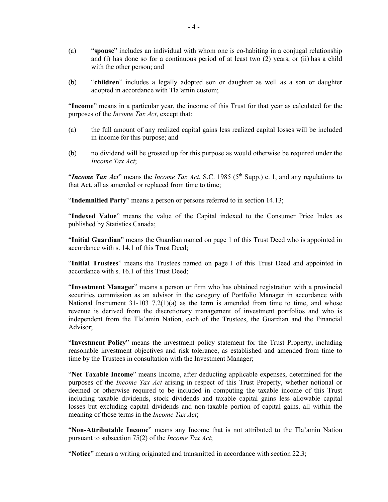- (a) "**spouse**" includes an individual with whom one is co-habiting in a conjugal relationship and (i) has done so for a continuous period of at least two (2) years, or (ii) has a child with the other person; and
- (b) "**children**" includes a legally adopted son or daughter as well as a son or daughter adopted in accordance with Tla'amin custom;

"**Income**" means in a particular year, the income of this Trust for that year as calculated for the purposes of the *Income Tax Act*, except that:

- (a) the full amount of any realized capital gains less realized capital losses will be included in income for this purpose; and
- (b) no dividend will be grossed up for this purpose as would otherwise be required under the *Income Tax Act*;

"*Income Tax Act*" means the *Income Tax Act*, S.C. 1985 (5<sup>th</sup> Supp.) c. 1, and any regulations to that Act, all as amended or replaced from time to time;

"**Indemnified Party**" means a person or persons referred to in section [14.13](#page-33-0);

"**Indexed Value**" means the value of the Capital indexed to the Consumer Price Index as published by Statistics Canada;

"**Initial Guardian**" means the Guardian named on page 1 of this Trust Deed who is appointed in accordance with s. 14.1 of this Trust Deed;

"**Initial Trustees**" means the Trustees named on page 1 of this Trust Deed and appointed in accordance with s. 16.1 of this Trust Deed;

"**Investment Manager**" means a person or firm who has obtained registration with a provincial securities commission as an advisor in the category of Portfolio Manager in accordance with National Instrument  $31-103$   $7.2(1)(a)$  as the term is amended from time to time, and whose revenue is derived from the discretionary management of investment portfolios and who is independent from the Tla'amin Nation, each of the Trustees, the Guardian and the Financial Advisor;

"**Investment Policy**" means the investment policy statement for the Trust Property, including reasonable investment objectives and risk tolerance, as established and amended from time to time by the Trustees in consultation with the Investment Manager;

"**Net Taxable Income**" means Income, after deducting applicable expenses, determined for the purposes of the *Income Tax Act* arising in respect of this Trust Property, whether notional or deemed or otherwise required to be included in computing the taxable income of this Trust including taxable dividends, stock dividends and taxable capital gains less allowable capital losses but excluding capital dividends and non-taxable portion of capital gains, all within the meaning of those terms in the *Income Tax Act*;

"**Non-Attributable Income**" means any Income that is not attributed to the Tla'amin Nation pursuant to subsection 75(2) of the *Income Tax Act*;

"**Notice**" means a writing originated and transmitted in accordance with section [22.3](#page-44-0);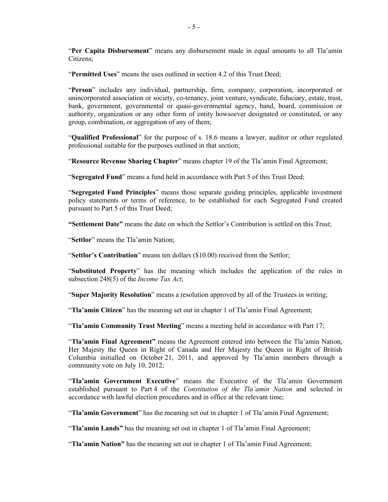"**Per Capita Disbursement**" means any disbursement made in equal amounts to all Tla'amin Citizens;

"**Permitted Uses**" means the uses outlined in section [4.2](#page-14-0) of this Trust Deed;

"**Person**" includes any individual, partnership, firm, company, corporation, incorporated or unincorporated association or society, co-tenancy, joint venture, syndicate, fiduciary, estate, trust, bank, government, governmental or quasi-governmental agency, band, board, commission or authority, organization or any other form of entity howsoever designated or constituted, or any group, combination, or aggregation of any of them;

"**Qualified Professional**" for the purpose of s. 18.6 means a lawyer, auditor or other regulated professional suitable for the purposes outlined in that section;

"**Resource Revenue Sharing Chapter**" means chapter 19 of the Tla'amin Final Agreement;

"**Segregated Fund**" means a fund held in accordance with [Part](#page-14-1) 5 of this Trust Deed;

"**Segregated Fund Principles**" means those separate guiding principles, applicable investment policy statements or terms of reference, to be established for each Segregated Fund created pursuant to [Part](#page-14-1) 5 of this Trust Deed;

**"Settlement Date"** means the date on which the Settlor's Contribution is settled on this Trust;

"**Settlor**" means the Tla'amin Nation;

"**Settlor's Contribution**" means ten dollars (\$10.00) received from the Settlor;

"**Substituted Property**" has the meaning which includes the application of the rules in subsection 248(5) of the *Income Tax Act*;

"**Super Majority Resolution**" means a resolution approved by all of the Trustees in writing;

"**Tla'amin Citizen**" has the meaning set out in chapter 1 of Tla'amin Final Agreement;

"**Tla'amin Community Trust Meeting**" means a meeting held in accordance with [Part](#page-38-0) 17;

"**Tla'amin Final Agreement"** means the Agreement entered into between the Tla'amin Nation, Her Majesty the Queen in Right of Canada and Her Majesty the Queen in Right of British Columbia initialled on October 21, 2011, and approved by Tla'amin members through a community vote on July 10, 2012;

"**Tla'amin Government Executive**" means the Executive of the Tla'amin Government established pursuant to Part 4 of the *Constitution of the Tla'amin Nation* and selected in accordance with lawful election procedures and in office at the relevant time;

"**Tla'amin Government**" has the meaning set out in chapter 1 of Tla'amin Final Agreement;

"**Tla'amin Lands"** has the meaning set out in chapter 1 of Tla'amin Final Agreement;

"**Tla'amin Nation"** has the meaning set out in chapter 1 of Tla'amin Final Agreement;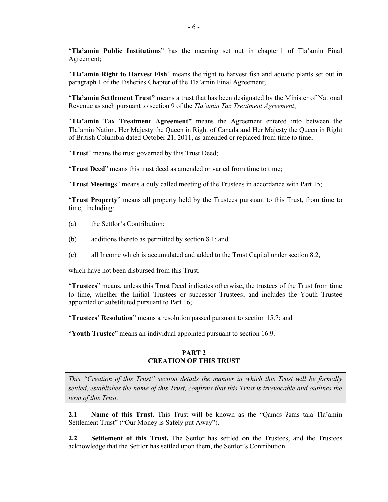"**Tla'amin Public Institutions**" has the meaning set out in chapter 1 of Tla'amin Final Agreement;

"**Tla'amin Right to Harvest Fish**" means the right to harvest fish and aquatic plants set out in paragraph 1 of the Fisheries Chapter of the Tla'amin Final Agreement;

"**Tla'amin Settlement Trust"** means a trust that has been designated by the Minister of National Revenue as such pursuant to section 9 of the *Tla'amin Tax Treatment Agreement*;

"**Tla'amin Tax Treatment Agreement"** means the Agreement entered into between the Tla'amin Nation, Her Majesty the Queen in Right of Canada and Her Majesty the Queen in Right of British Columbia dated October 21, 2011, as amended or replaced from time to time;

"**Trust**" means the trust governed by this Trust Deed;

"**Trust Deed**" means this trust deed as amended or varied from time to time;

"**Trust Meetings**" means a duly called meeting of the Trustees in accordance with Part 15;

"**Trust Property**" means all property held by the Trustees pursuant to this Trust, from time to time, including:

- (a) the Settlor's Contribution;
- (b) additions thereto as permitted by section [8.1](#page-16-0); and
- (c) all Income which is accumulated and added to the Trust Capital under section [8.2,](#page-16-1)

which have not been disbursed from this Trust.

"**Trustees**" means, unless this Trust Deed indicates otherwise, the trustees of the Trust from time to time, whether the Initial Trustees or successor Trustees, and includes the Youth Trustee appointed or substituted pursuant to [Part](#page-36-0) 16;

"**Trustees' Resolution**" means a resolution passed pursuant to section [15.7](#page-35-0); and

"**Youth Trustee**" means an individual appointed pursuant to section 16.9.

#### **PART 2 CREATION OF THIS TRUST**

*This "Creation of this Trust" section details the manner in which this Trust will be formally settled, establishes the name of this Trust, confirms that this Trust is irrevocable and outlines the term of this Trust.*

**2.1 Name of this Trust.** This Trust will be known as the "Qames ? ams tala Tla'amin Settlement Trust" ("Our Money is Safely put Away").

**2.2 Settlement of this Trust.** The Settlor has settled on the Trustees, and the Trustees acknowledge that the Settlor has settled upon them, the Settlor's Contribution.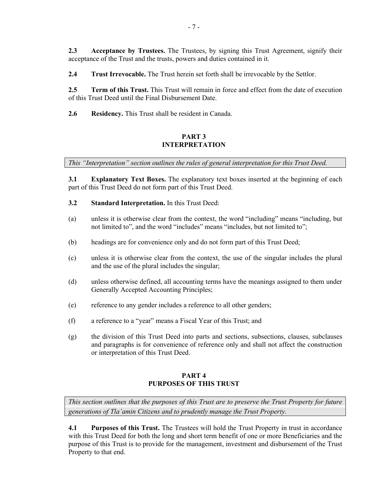**2.3 Acceptance by Trustees.** The Trustees, by signing this Trust Agreement, signify their acceptance of the Trust and the trusts, powers and duties contained in it.

**2.4 Trust Irrevocable.** The Trust herein set forth shall be irrevocable by the Settlor.

**2.5 Term of this Trust.** This Trust will remain in force and effect from the date of execution of this Trust Deed until the Final Disbursement Date.

<span id="page-13-0"></span>**2.6 Residency.** This Trust shall be resident in Canada.

## **PART 3 INTERPRETATION**

*This "Interpretation" section outlines the rules of general interpretation for this Trust Deed.*

**3.1 Explanatory Text Boxes.** The explanatory text boxes inserted at the beginning of each part of this Trust Deed do not form part of this Trust Deed.

- **3.2 Standard Interpretation.** In this Trust Deed:
- (a) unless it is otherwise clear from the context, the word "including" means "including, but not limited to", and the word "includes" means "includes, but not limited to";
- (b) headings are for convenience only and do not form part of this Trust Deed;
- (c) unless it is otherwise clear from the context, the use of the singular includes the plural and the use of the plural includes the singular;
- (d) unless otherwise defined, all accounting terms have the meanings assigned to them under Generally Accepted Accounting Principles;
- (e) reference to any gender includes a reference to all other genders;
- (f) a reference to a "year" means a Fiscal Year of this Trust; and
- (g) the division of this Trust Deed into parts and sections, subsections, clauses, subclauses and paragraphs is for convenience of reference only and shall not affect the construction or interpretation of this Trust Deed.

## **PART 4 PURPOSES OF THIS TRUST**

*This section outlines that the purposes of this Trust are to preserve the Trust Property for future generations of Tla'amin Citizens and to prudently manage the Trust Property.*

<span id="page-13-1"></span>**4.1 Purposes of this Trust.** The Trustees will hold the Trust Property in trust in accordance with this Trust Deed for both the long and short term benefit of one or more Beneficiaries and the purpose of this Trust is to provide for the management, investment and disbursement of the Trust Property to that end.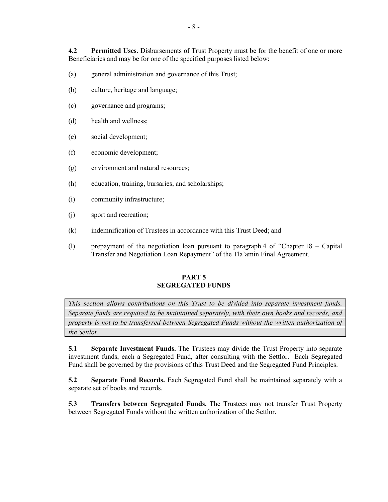<span id="page-14-0"></span>**4.2 Permitted Uses.** Disbursements of Trust Property must be for the benefit of one or more Beneficiaries and may be for one of the specified purposes listed below:

- (a) general administration and governance of this Trust;
- (b) culture, heritage and language;
- (c) governance and programs;
- (d) health and wellness;
- (e) social development;
- (f) economic development;
- (g) environment and natural resources;
- (h) education, training, bursaries, and scholarships;
- (i) community infrastructure;
- (j) sport and recreation;
- <span id="page-14-2"></span>(k) indemnification of Trustees in accordance with this Trust Deed; and
- <span id="page-14-1"></span>(l) prepayment of the negotiation loan pursuant to paragraph 4 of "Chapter 18 – Capital Transfer and Negotiation Loan Repayment" of the Tla'amin Final Agreement.

#### **PART 5 SEGREGATED FUNDS**

*This section allows contributions on this Trust to be divided into separate investment funds. Separate funds are required to be maintained separately, with their own books and records, and property is not to be transferred between Segregated Funds without the written authorization of the Settlor.*

**5.1 Separate Investment Funds.** The Trustees may divide the Trust Property into separate investment funds, each a Segregated Fund, after consulting with the Settlor. Each Segregated Fund shall be governed by the provisions of this Trust Deed and the Segregated Fund Principles.

<span id="page-14-3"></span>**5.2 Separate Fund Records.** Each Segregated Fund shall be maintained separately with a separate set of books and records.

**5.3 Transfers between Segregated Funds.** The Trustees may not transfer Trust Property between Segregated Funds without the written authorization of the Settlor.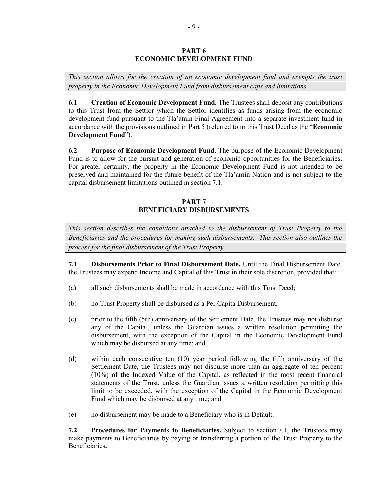#### **PART 6 ECONOMIC DEVELOPMENT FUND**

*This section allows for the creation of an economic development fund and exempts the trust property in the Economic Development Fund from disbursement caps and limitations.* 

**6.1 Creation of Economic Development Fund.** The Trustees shall deposit any contributions to this Trust from the Settlor which the Settlor identifies as funds arising from the economic development fund pursuant to the Tla'amin Final Agreement into a separate investment fund in accordance with the provisions outlined in [Part](#page-14-1) 5 (referred to in this Trust Deed as the "**Economic Development Fund**").

**6.2 Purpose of Economic Development Fund.** The purpose of the Economic Development Fund is to allow for the pursuit and generation of economic opportunities for the Beneficiaries. For greater certainty, the property in the Economic Development Fund is not intended to be preserved and maintained for the future benefit of the Tla'amin Nation and is not subject to the capital disbursement limitations outlined in section [7.1.](#page-15-0)

## **PART 7 BENEFICIARY DISBURSEMENTS**

*This section describes the conditions attached to the disbursement of Trust Property to the Beneficiaries and the procedures for making such disbursements. This section also outlines the process for the final disbursement of the Trust Property.*

<span id="page-15-0"></span>**7.1 Disbursements Prior to Final Disbursement Date.** Until the Final Disbursement Date, the Trustees may expend Income and Capital of this Trust in their sole discretion, provided that:

- (a) all such disbursements shall be made in accordance with this Trust Deed;
- <span id="page-15-1"></span>(b) no Trust Property shall be disbursed as a Per Capita Disbursement;
- (c) prior to the fifth (5th) anniversary of the Settlement Date, the Trustees may not disburse any of the Capital, unless the Guardian issues a written resolution permitting the disbursement, with the exception of the Capital in the Economic Development Fund which may be disbursed at any time; and
- <span id="page-15-2"></span>(d) within each consecutive ten (10) year period following the fifth anniversary of the Settlement Date, the Trustees may not disburse more than an aggregate of ten percent (10%) of the Indexed Value of the Capital, as reflected in the most recent financial statements of the Trust, unless the Guardian issues a written resolution permitting this limit to be exceeded, with the exception of the Capital in the Economic Development Fund which may be disbursed at any time; and
- (e) no disbursement may be made to a Beneficiary who is in Default.

**7.2 Procedures for Payments to Beneficiaries.** Subject to section [7.1,](#page-15-0) the Trustees may make payments to Beneficiaries by paying or transferring a portion of the Trust Property to the Beneficiaries**.**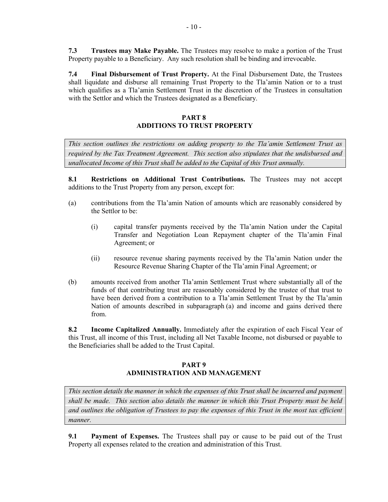**7.3 Trustees may Make Payable.** The Trustees may resolve to make a portion of the Trust Property payable to a Beneficiary. Any such resolution shall be binding and irrevocable.

**7.4 Final Disbursement of Trust Property.** At the Final Disbursement Date, the Trustees shall liquidate and disburse all remaining Trust Property to the Tla'amin Nation or to a trust which qualifies as a Tla'amin Settlement Trust in the discretion of the Trustees in consultation with the Settlor and which the Trustees designated as a Beneficiary.

## **PART 8 ADDITIONS TO TRUST PROPERTY**

*This section outlines the restrictions on adding property to the Tla'amin Settlement Trust as required by the Tax Treatment Agreement. This section also stipulates that the undisbursed and unallocated Income of this Trust shall be added to the Capital of this Trust annually.*

<span id="page-16-0"></span>**8.1 Restrictions on Additional Trust Contributions.** The Trustees may not accept additions to the Trust Property from any person, except for:

- (a) contributions from the Tla'amin Nation of amounts which are reasonably considered by the Settlor to be:
	- (i) capital transfer payments received by the Tla'amin Nation under the Capital Transfer and Negotiation Loan Repayment chapter of the Tla'amin Final Agreement; or
	- (ii) resource revenue sharing payments received by the Tla'amin Nation under the Resource Revenue Sharing Chapter of the Tla'amin Final Agreement; or
- (b) amounts received from another Tla'amin Settlement Trust where substantially all of the funds of that contributing trust are reasonably considered by the trustee of that trust to have been derived from a contribution to a Tla'amin Settlement Trust by the Tla'amin Nation of amounts described in subparagraph (a) and income and gains derived there from.

<span id="page-16-1"></span>**8.2 Income Capitalized Annually.** Immediately after the expiration of each Fiscal Year of this Trust, all income of this Trust, including all Net Taxable Income, not disbursed or payable to the Beneficiaries shall be added to the Trust Capital.

## **PART 9 ADMINISTRATION AND MANAGEMENT**

*This section details the manner in which the expenses of this Trust shall be incurred and payment shall be made. This section also details the manner in which this Trust Property must be held and outlines the obligation of Trustees to pay the expenses of this Trust in the most tax efficient manner.*

**9.1 Payment of Expenses.** The Trustees shall pay or cause to be paid out of the Trust Property all expenses related to the creation and administration of this Trust.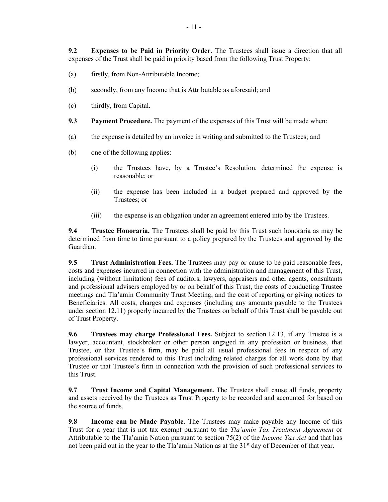**9.2 Expenses to be Paid in Priority Order**. The Trustees shall issue a direction that all expenses of the Trust shall be paid in priority based from the following Trust Property:

- (a) firstly, from Non-Attributable Income;
- (b) secondly, from any Income that is Attributable as aforesaid; and
- (c) thirdly, from Capital.
- **9.3 Payment Procedure.** The payment of the expenses of this Trust will be made when:
- (a) the expense is detailed by an invoice in writing and submitted to the Trustees; and
- (b) one of the following applies:
	- (i) the Trustees have, by a Trustee's Resolution, determined the expense is reasonable; or
	- (ii) the expense has been included in a budget prepared and approved by the Trustees; or
	- (iii) the expense is an obligation under an agreement entered into by the Trustees.

<span id="page-17-0"></span>**9.4 Trustee Honoraria.** The Trustees shall be paid by this Trust such honoraria as may be determined from time to time pursuant to a policy prepared by the Trustees and approved by the Guardian.

**9.5 Trust Administration Fees.** The Trustees may pay or cause to be paid reasonable fees, costs and expenses incurred in connection with the administration and management of this Trust, including (without limitation) fees of auditors, lawyers, appraisers and other agents, consultants and professional advisers employed by or on behalf of this Trust, the costs of conducting Trustee meetings and Tla'amin Community Trust Meeting, and the cost of reporting or giving notices to Beneficiaries. All costs, charges and expenses (including any amounts payable to the Trustees under section 12.11) properly incurred by the Trustees on behalf of this Trust shall be payable out of Trust Property.

**9.6 Trustees may charge Professional Fees.** Subject to section 12.13, if any Trustee is a lawyer, accountant, stockbroker or other person engaged in any profession or business, that Trustee, or that Trustee's firm, may be paid all usual professional fees in respect of any professional services rendered to this Trust including related charges for all work done by that Trustee or that Trustee's firm in connection with the provision of such professional services to this Trust.

**9.7 Trust Income and Capital Management.** The Trustees shall cause all funds, property and assets received by the Trustees as Trust Property to be recorded and accounted for based on the source of funds.

**9.8 Income can be Made Payable.** The Trustees may make payable any Income of this Trust for a year that is not tax exempt pursuant to the *Tla'amin Tax Treatment Agreement* or Attributable to the Tla'amin Nation pursuant to section 75(2) of the *Income Tax Act* and that has not been paid out in the year to the Tla'amin Nation as at the 31<sup>st</sup> day of December of that year.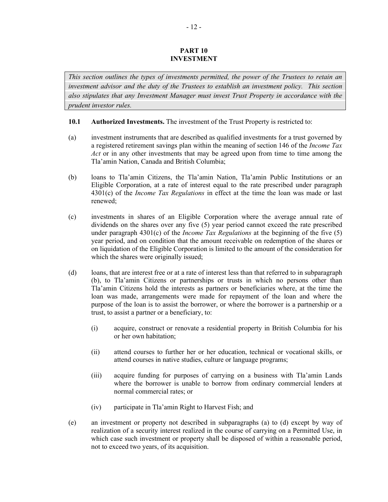#### **PART 10 INVESTMENT**

<span id="page-18-0"></span>*This section outlines the types of investments permitted, the power of the Trustees to retain an investment advisor and the duty of the Trustees to establish an investment policy. This section also stipulates that any Investment Manager must invest Trust Property in accordance with the prudent investor rules.*

#### **10.1 Authorized Investments.** The investment of the Trust Property is restricted to:

- (a) investment instruments that are described as qualified investments for a trust governed by a registered retirement savings plan within the meaning of section 146 of the *Income Tax Act* or in any other investments that may be agreed upon from time to time among the Tla'amin Nation, Canada and British Columbia;
- <span id="page-18-1"></span>(b) loans to Tla'amin Citizens, the Tla'amin Nation, Tla'amin Public Institutions or an Eligible Corporation, at a rate of interest equal to the rate prescribed under paragraph 4301(c) of the *Income Tax Regulations* in effect at the time the loan was made or last renewed;
- (c) investments in shares of an Eligible Corporation where the average annual rate of dividends on the shares over any five (5) year period cannot exceed the rate prescribed under paragraph 4301(c) of the *Income Tax Regulations* at the beginning of the five (5) year period, and on condition that the amount receivable on redemption of the shares or on liquidation of the Eligible Corporation is limited to the amount of the consideration for which the shares were originally issued;
- <span id="page-18-2"></span>(d) loans, that are interest free or at a rate of interest less than that referred to in subparagraph (b), to Tla'amin Citizens or partnerships or trusts in which no persons other than Tla'amin Citizens hold the interests as partners or beneficiaries where, at the time the loan was made, arrangements were made for repayment of the loan and where the purpose of the loan is to assist the borrower, or where the borrower is a partnership or a trust, to assist a partner or a beneficiary, to:
	- (i) acquire, construct or renovate a residential property in British Columbia for his or her own habitation;
	- (ii) attend courses to further her or her education, technical or vocational skills, or attend courses in native studies, culture or language programs;
	- (iii) acquire funding for purposes of carrying on a business with Tla'amin Lands where the borrower is unable to borrow from ordinary commercial lenders at normal commercial rates; or
	- (iv) participate in Tla'amin Right to Harvest Fish; and
- (e) an investment or property not described in subparagraphs (a) to (d) except by way of realization of a security interest realized in the course of carrying on a Permitted Use, in which case such investment or property shall be disposed of within a reasonable period, not to exceed two years, of its acquisition.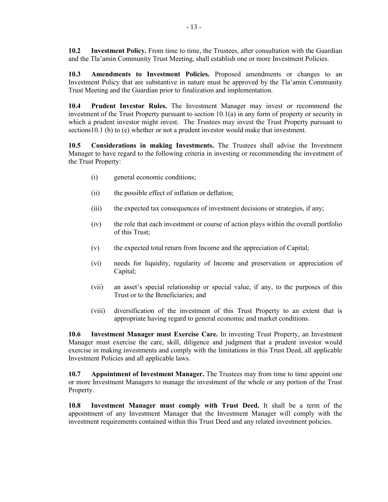<span id="page-19-0"></span>**10.2 Investment Policy.** From time to time, the Trustees, after consultation with the Guardian and the Tla'amin Community Trust Meeting, shall establish one or more Investment Policies.

**10.3 Amendments to Investment Policies.** Proposed amendments or changes to an Investment Policy that are substantive in nature must be approved by the Tla'amin Community Trust Meeting and the Guardian prior to finalization and implementation.

**10.4 Prudent Investor Rules.** The Investment Manager may invest or recommend the investment of the Trust Property pursuant to section 10.1(a) in any form of property or security in which a prudent investor might invest. The Trustees may invest the Trust Property pursuant to sections10.1 (b) to (e) whether or not a prudent investor would make that investment.

**10.5 Considerations in making Investments.** The Trustees shall advise the Investment Manager to have regard to the following criteria in investing or recommending the investment of the Trust Property:

- (i) general economic conditions;
- (ii) the possible effect of inflation or deflation;
- (iii) the expected tax consequences of investment decisions or strategies, if any;
- (iv) the role that each investment or course of action plays within the overall portfolio of this Trust;
- (v) the expected total return from Income and the appreciation of Capital;
- (vi) needs for liquidity, regularity of Income and preservation or appreciation of Capital;
- (vii) an asset's special relationship or special value, if any, to the purposes of this Trust or to the Beneficiaries; and
- (viii) diversification of the investment of this Trust Property to an extent that is appropriate having regard to general economic and market conditions.

**10.6 Investment Manager must Exercise Care.** In investing Trust Property, an Investment Manager must exercise the care, skill, diligence and judgment that a prudent investor would exercise in making investments and comply with the limitations in this Trust Deed, all applicable Investment Policies and all applicable laws.

**10.7 Appointment of Investment Manager.** The Trustees may from time to time appoint one or more Investment Managers to manage the investment of the whole or any portion of the Trust Property.

**10.8 Investment Manager must comply with Trust Deed.** It shall be a term of the appointment of any Investment Manager that the Investment Manager will comply with the investment requirements contained within this Trust Deed and any related investment policies.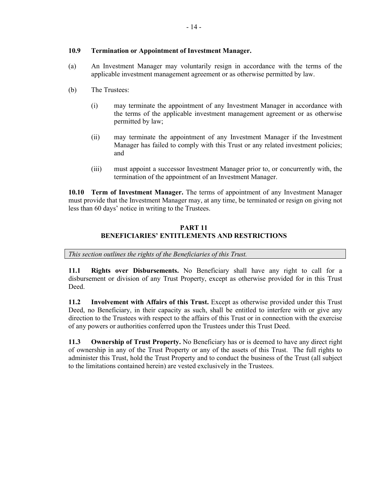## **10.9 Termination or Appointment of Investment Manager.**

- (a) An Investment Manager may voluntarily resign in accordance with the terms of the applicable investment management agreement or as otherwise permitted by law.
- (b) The Trustees:
	- (i) may terminate the appointment of any Investment Manager in accordance with the terms of the applicable investment management agreement or as otherwise permitted by law;
	- (ii) may terminate the appointment of any Investment Manager if the Investment Manager has failed to comply with this Trust or any related investment policies; and
	- (iii) must appoint a successor Investment Manager prior to, or concurrently with, the termination of the appointment of an Investment Manager.

**10.10 Term of Investment Manager.** The terms of appointment of any Investment Manager must provide that the Investment Manager may, at any time, be terminated or resign on giving not less than 60 days' notice in writing to the Trustees.

## **PART 11 BENEFICIARIES' ENTITLEMENTS AND RESTRICTIONS**

*This section outlines the rights of the Beneficiaries of this Trust.*

**11.1 Rights over Disbursements.** No Beneficiary shall have any right to call for a disbursement or division of any Trust Property, except as otherwise provided for in this Trust Deed.

**11.2 Involvement with Affairs of this Trust.** Except as otherwise provided under this Trust Deed, no Beneficiary, in their capacity as such, shall be entitled to interfere with or give any direction to the Trustees with respect to the affairs of this Trust or in connection with the exercise of any powers or authorities conferred upon the Trustees under this Trust Deed.

**11.3 Ownership of Trust Property.** No Beneficiary has or is deemed to have any direct right of ownership in any of the Trust Property or any of the assets of this Trust. The full rights to administer this Trust, hold the Trust Property and to conduct the business of the Trust (all subject to the limitations contained herein) are vested exclusively in the Trustees.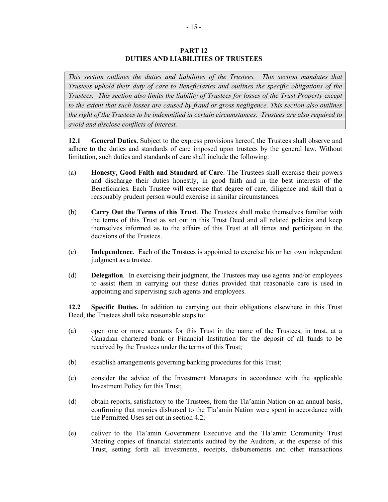#### **PART 12 DUTIES AND LIABILITIES OF TRUSTEES**

*This section outlines the duties and liabilities of the Trustees. This section mandates that Trustees uphold their duty of care to Beneficiaries and outlines the specific obligations of the Trustees. This section also limits the liability of Trustees for losses of the Trust Property except to the extent that such losses are caused by fraud or gross negligence. This section also outlines the right of the Trustees to be indemnified in certain circumstances. Trustees are also required to avoid and disclose conflicts of interest.*

**12.1 General Duties.** Subject to the express provisions hereof, the Trustees shall observe and adhere to the duties and standards of care imposed upon trustees by the general law. Without limitation, such duties and standards of care shall include the following:

- (a) **Honesty, Good Faith and Standard of Care**. The Trustees shall exercise their powers and discharge their duties honestly, in good faith and in the best interests of the Beneficiaries. Each Trustee will exercise that degree of care, diligence and skill that a reasonably prudent person would exercise in similar circumstances.
- (b) **Carry Out the Terms of this Trust**. The Trustees shall make themselves familiar with the terms of this Trust as set out in this Trust Deed and all related policies and keep themselves informed as to the affairs of this Trust at all times and participate in the decisions of the Trustees.
- (c) **Independence**. Each of the Trustees is appointed to exercise his or her own independent judgment as a trustee.
- (d) **Delegation**. In exercising their judgment, the Trustees may use agents and/or employees to assist them in carrying out these duties provided that reasonable care is used in appointing and supervising such agents and employees.

**12.2 Specific Duties.** In addition to carrying out their obligations elsewhere in this Trust Deed, the Trustees shall take reasonable steps to:

- (a) open one or more accounts for this Trust in the name of the Trustees, in trust, at a Canadian chartered bank or Financial Institution for the deposit of all funds to be received by the Trustees under the terms of this Trust;
- (b) establish arrangements governing banking procedures for this Trust;
- (c) consider the advice of the Investment Managers in accordance with the applicable Investment Policy for this Trust;
- (d) obtain reports, satisfactory to the Trustees, from the Tla'amin Nation on an annual basis, confirming that monies disbursed to the Tla'amin Nation were spent in accordance with the Permitted Uses set out in section [4.2](#page-14-0);
- <span id="page-21-0"></span>(e) deliver to the Tla'amin Government Executive and the Tla'amin Community Trust Meeting copies of financial statements audited by the Auditors, at the expense of this Trust, setting forth all investments, receipts, disbursements and other transactions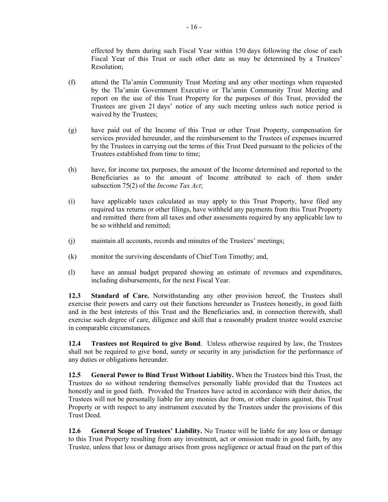effected by them during such Fiscal Year within 150 days following the close of each Fiscal Year of this Trust or such other date as may be determined by a Trustees' Resolution;

- (f) attend the Tla'amin Community Trust Meeting and any other meetings when requested by the Tla'amin Government Executive or Tla'amin Community Trust Meeting and report on the use of this Trust Property for the purposes of this Trust, provided the Trustees are given 21 days' notice of any such meeting unless such notice period is waived by the Trustees;
- (g) have paid out of the Income of this Trust or other Trust Property, compensation for services provided hereunder, and the reimbursement to the Trustees of expenses incurred by the Trustees in carrying out the terms of this Trust Deed pursuant to the policies of the Trustees established from time to time;
- (h) have, for income tax purposes, the amount of the Income determined and reported to the Beneficiaries as to the amount of Income attributed to each of them under subsection 75(2) of the *Income Tax Act*;
- (i) have applicable taxes calculated as may apply to this Trust Property, have filed any required tax returns or other filings, have withheld any payments from this Trust Property and remitted there from all taxes and other assessments required by any applicable law to be so withheld and remitted;
- (j) maintain all accounts, records and minutes of the Trustees' meetings;
- (k) monitor the surviving descendants of Chief Tom Timothy; and,
- (l) have an annual budget prepared showing an estimate of revenues and expenditures, including disbursements, for the next Fiscal Year.

<span id="page-22-0"></span>**12.3 Standard of Care.** Notwithstanding any other provision hereof, the Trustees shall exercise their powers and carry out their functions hereunder as Trustees honestly, in good faith and in the best interests of this Trust and the Beneficiaries and, in connection therewith, shall exercise such degree of care, diligence and skill that a reasonably prudent trustee would exercise in comparable circumstances.

**12.4 Trustees not Required to give Bond**. Unless otherwise required by law, the Trustees shall not be required to give bond, surety or security in any jurisdiction for the performance of any duties or obligations hereunder.

**12.5 General Power to Bind Trust Without Liability.** When the Trustees bind this Trust, the Trustees do so without rendering themselves personally liable provided that the Trustees act honestly and in good faith. Provided the Trustees have acted in accordance with their duties, the Trustees will not be personally liable for any monies due from, or other claims against, this Trust Property or with respect to any instrument executed by the Trustees under the provisions of this Trust Deed.

**12.6 General Scope of Trustees' Liability.** No Trustee will be liable for any loss or damage to this Trust Property resulting from any investment, act or omission made in good faith, by any Trustee, unless that loss or damage arises from gross negligence or actual fraud on the part of this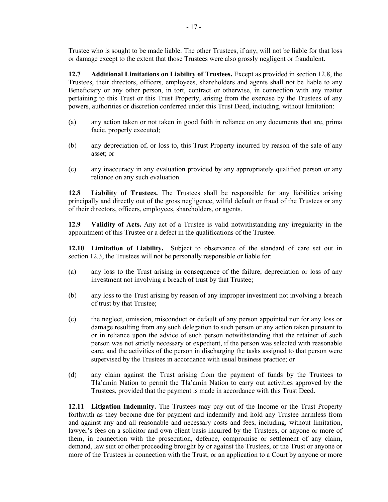Trustee who is sought to be made liable. The other Trustees, if any, will not be liable for that loss or damage except to the extent that those Trustees were also grossly negligent or fraudulent.

**12.7 Additional Limitations on Liability of Trustees.** Except as provided in section [12.8,](#page-23-0) the Trustees, their directors, officers, employees, shareholders and agents shall not be liable to any Beneficiary or any other person, in tort, contract or otherwise, in connection with any matter pertaining to this Trust or this Trust Property, arising from the exercise by the Trustees of any powers, authorities or discretion conferred under this Trust Deed, including, without limitation:

- (a) any action taken or not taken in good faith in reliance on any documents that are, prima facie, properly executed;
- (b) any depreciation of, or loss to, this Trust Property incurred by reason of the sale of any asset; or
- (c) any inaccuracy in any evaluation provided by any appropriately qualified person or any reliance on any such evaluation.

<span id="page-23-0"></span>**12.8 Liability of Trustees.** The Trustees shall be responsible for any liabilities arising principally and directly out of the gross negligence, wilful default or fraud of the Trustees or any of their directors, officers, employees, shareholders, or agents.

**12.9 Validity of Acts.** Any act of a Trustee is valid notwithstanding any irregularity in the appointment of this Trustee or a defect in the qualifications of the Trustee.

**12.10 Limitation of Liability.** Subject to observance of the standard of care set out in section [12.3](#page-22-0), the Trustees will not be personally responsible or liable for:

- (a) any loss to the Trust arising in consequence of the failure, depreciation or loss of any investment not involving a breach of trust by that Trustee;
- (b) any loss to the Trust arising by reason of any improper investment not involving a breach of trust by that Trustee;
- (c) the neglect, omission, misconduct or default of any person appointed nor for any loss or damage resulting from any such delegation to such person or any action taken pursuant to or in reliance upon the advice of such person notwithstanding that the retainer of such person was not strictly necessary or expedient, if the person was selected with reasonable care, and the activities of the person in discharging the tasks assigned to that person were supervised by the Trustees in accordance with usual business practice; or
- (d) any claim against the Trust arising from the payment of funds by the Trustees to Tla'amin Nation to permit the Tla'amin Nation to carry out activities approved by the Trustees, provided that the payment is made in accordance with this Trust Deed.

**12.11 Litigation Indemnity.** The Trustees may pay out of the Income or the Trust Property forthwith as they become due for payment and indemnify and hold any Trustee harmless from and against any and all reasonable and necessary costs and fees, including, without limitation, lawyer's fees on a solicitor and own client basis incurred by the Trustees, or anyone or more of them, in connection with the prosecution, defence, compromise or settlement of any claim, demand, law suit or other proceeding brought by or against the Trustees, or the Trust or anyone or more of the Trustees in connection with the Trust, or an application to a Court by anyone or more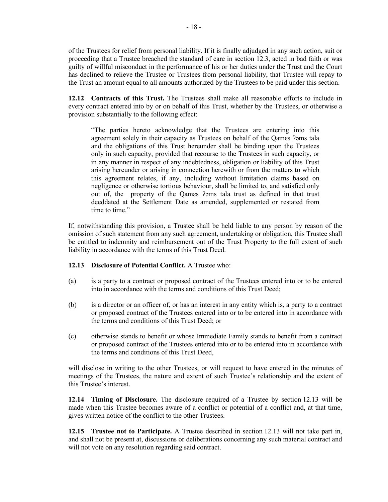of the Trustees for relief from personal liability. If it is finally adjudged in any such action, suit or proceeding that a Trustee breached the standard of care in section 12.3, acted in bad faith or was guilty of willful misconduct in the performance of his or her duties under the Trust and the Court has declined to relieve the Trustee or Trustees from personal liability, that Trustee will repay to the Trust an amount equal to all amounts authorized by the Trustees to be paid under this section.

**12.12 Contracts of this Trust.** The Trustees shall make all reasonable efforts to include in every contract entered into by or on behalf of this Trust, whether by the Trustees, or otherwise a provision substantially to the following effect:

"The parties hereto acknowledge that the Trustees are entering into this agreement solely in their capacity as Trustees on behalf of the Qames ?ams tala and the obligations of this Trust hereunder shall be binding upon the Trustees only in such capacity, provided that recourse to the Trustees in such capacity, or in any manner in respect of any indebtedness, obligation or liability of this Trust arising hereunder or arising in connection herewith or from the matters to which this agreement relates, if any, including without limitation claims based on negligence or otherwise tortious behaviour, shall be limited to, and satisfied only out of, the property of the Qamɛs ʔəms tala trust as defined in that trust deeddated at the Settlement Date as amended, supplemented or restated from time to time."

If, notwithstanding this provision, a Trustee shall be held liable to any person by reason of the omission of such statement from any such agreement, undertaking or obligation, this Trustee shall be entitled to indemnity and reimbursement out of the Trust Property to the full extent of such liability in accordance with the terms of this Trust Deed.

## **12.13 Disclosure of Potential Conflict.** A Trustee who:

- (a) is a party to a contract or proposed contract of the Trustees entered into or to be entered into in accordance with the terms and conditions of this Trust Deed;
- (b) is a director or an officer of, or has an interest in any entity which is, a party to a contract or proposed contract of the Trustees entered into or to be entered into in accordance with the terms and conditions of this Trust Deed; or
- (c) otherwise stands to benefit or whose Immediate Family stands to benefit from a contract or proposed contract of the Trustees entered into or to be entered into in accordance with the terms and conditions of this Trust Deed,

will disclose in writing to the other Trustees, or will request to have entered in the minutes of meetings of the Trustees, the nature and extent of such Trustee's relationship and the extent of this Trustee's interest.

**12.14 Timing of Disclosure.** The disclosure required of a Trustee by section 12.13 will be made when this Trustee becomes aware of a conflict or potential of a conflict and, at that time, gives written notice of the conflict to the other Trustees.

**12.15 Trustee not to Participate.** A Trustee described in section 12.13 will not take part in, and shall not be present at, discussions or deliberations concerning any such material contract and will not vote on any resolution regarding said contract.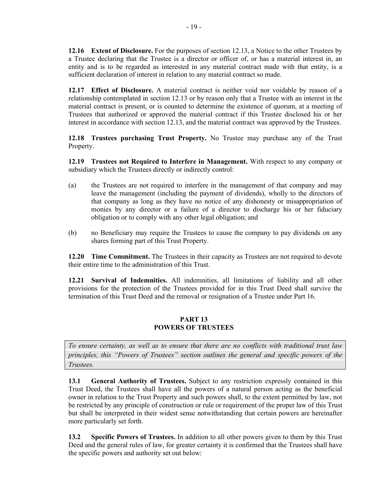**12.16 Extent of Disclosure.** For the purposes of section 12.13, a Notice to the other Trustees by a Trustee declaring that the Trustee is a director or officer of, or has a material interest in, an entity and is to be regarded as interested in any material contract made with that entity, is a sufficient declaration of interest in relation to any material contract so made.

**12.17 Effect of Disclosure.** A material contract is neither void nor voidable by reason of a relationship contemplated in section 12.13 or by reason only that a Trustee with an interest in the material contract is present, or is counted to determine the existence of quorum, at a meeting of Trustees that authorized or approved the material contract if this Trustee disclosed his or her interest in accordance with section 12.13, and the material contract was approved by the Trustees.

**12.18 Trustees purchasing Trust Property.** No Trustee may purchase any of the Trust Property.

**12.19 Trustees not Required to Interfere in Management.** With respect to any company or subsidiary which the Trustees directly or indirectly control:

- (a) the Trustees are not required to interfere in the management of that company and may leave the management (including the payment of dividends), wholly to the directors of that company as long as they have no notice of any dishonesty or misappropriation of monies by any director or a failure of a director to discharge his or her fiduciary obligation or to comply with any other legal obligation; and
- (b) no Beneficiary may require the Trustees to cause the company to pay dividends on any shares forming part of this Trust Property.

**12.20 Time Commitment.** The Trustees in their capacity as Trustees are not required to devote their entire time to the administration of this Trust.

**12.21 Survival of Indemnities.** All indemnities, all limitations of liability and all other provisions for the protection of the Trustees provided for in this Trust Deed shall survive the termination of this Trust Deed and the removal or resignation of a Trustee under [Part](#page-36-0) 16.

### **PART 13 POWERS OF TRUSTEES**

<span id="page-25-0"></span>*To ensure certainty, as well as to ensure that there are no conflicts with traditional trust law principles, this "Powers of Trustees" section outlines the general and specific powers of the Trustees.*

**13.1 General Authority of Trustees.** Subject to any restriction expressly contained in this Trust Deed, the Trustees shall have all the powers of a natural person acting as the beneficial owner in relation to the Trust Property and such powers shall, to the extent permitted by law, not be restricted by any principle of construction or rule or requirement of the proper law of this Trust but shall be interpreted in their widest sense notwithstanding that certain powers are hereinafter more particularly set forth.

**13.2 Specific Powers of Trustees.** In addition to all other powers given to them by this Trust Deed and the general rules of law, for greater certainty it is confirmed that the Trustees shall have the specific powers and authority set out below: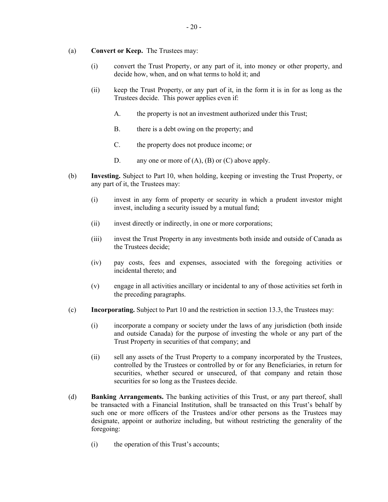#### (a) **Convert or Keep.** The Trustees may:

- (i) convert the Trust Property, or any part of it, into money or other property, and decide how, when, and on what terms to hold it; and
- (ii) keep the Trust Property, or any part of it, in the form it is in for as long as the Trustees decide. This power applies even if:
	- A. the property is not an investment authorized under this Trust;
	- B. there is a debt owing on the property; and
	- C. the property does not produce income; or
	- D. any one or more of  $(A)$ ,  $(B)$  or  $(C)$  above apply.
- (b) **Investing.** Subject to [Part](#page-18-0) 10, when holding, keeping or investing the Trust Property, or any part of it, the Trustees may:
	- (i) invest in any form of property or security in which a prudent investor might invest, including a security issued by a mutual fund;
	- (ii) invest directly or indirectly, in one or more corporations;
	- (iii) invest the Trust Property in any investments both inside and outside of Canada as the Trustees decide;
	- (iv) pay costs, fees and expenses, associated with the foregoing activities or incidental thereto; and
	- (v) engage in all activities ancillary or incidental to any of those activities set forth in the preceding paragraphs.
- (c) **Incorporating.** Subject to [Part](#page-18-0) 10 and the restriction in section [13.3](#page-29-0), the Trustees may:
	- (i) incorporate a company or society under the laws of any jurisdiction (both inside and outside Canada) for the purpose of investing the whole or any part of the Trust Property in securities of that company; and
	- (ii) sell any assets of the Trust Property to a company incorporated by the Trustees, controlled by the Trustees or controlled by or for any Beneficiaries, in return for securities, whether secured or unsecured, of that company and retain those securities for so long as the Trustees decide.
- (d) **Banking Arrangements.** The banking activities of this Trust, or any part thereof, shall be transacted with a Financial Institution, shall be transacted on this Trust's behalf by such one or more officers of the Trustees and/or other persons as the Trustees may designate, appoint or authorize including, but without restricting the generality of the foregoing:
	- (i) the operation of this Trust's accounts;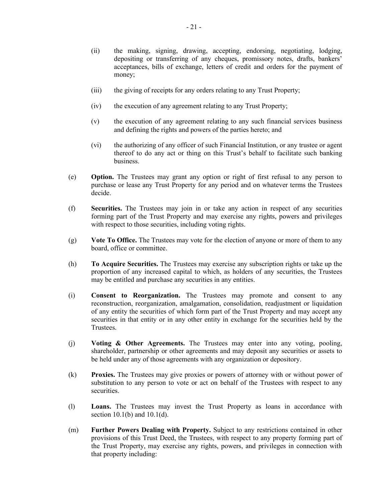- (ii) the making, signing, drawing, accepting, endorsing, negotiating, lodging, depositing or transferring of any cheques, promissory notes, drafts, bankers' acceptances, bills of exchange, letters of credit and orders for the payment of money;
- (iii) the giving of receipts for any orders relating to any Trust Property;
- (iv) the execution of any agreement relating to any Trust Property;
- (v) the execution of any agreement relating to any such financial services business and defining the rights and powers of the parties hereto; and
- (vi) the authorizing of any officer of such Financial Institution, or any trustee or agent thereof to do any act or thing on this Trust's behalf to facilitate such banking business.
- (e) **Option.** The Trustees may grant any option or right of first refusal to any person to purchase or lease any Trust Property for any period and on whatever terms the Trustees decide.
- (f) **Securities.** The Trustees may join in or take any action in respect of any securities forming part of the Trust Property and may exercise any rights, powers and privileges with respect to those securities, including voting rights.
- (g) **Vote To Office.** The Trustees may vote for the election of anyone or more of them to any board, office or committee.
- (h) **To Acquire Securities.** The Trustees may exercise any subscription rights or take up the proportion of any increased capital to which, as holders of any securities, the Trustees may be entitled and purchase any securities in any entities.
- (i) **Consent to Reorganization.** The Trustees may promote and consent to any reconstruction, reorganization, amalgamation, consolidation, readjustment or liquidation of any entity the securities of which form part of the Trust Property and may accept any securities in that entity or in any other entity in exchange for the securities held by the Trustees.
- (j) **Voting & Other Agreements.** The Trustees may enter into any voting, pooling, shareholder, partnership or other agreements and may deposit any securities or assets to be held under any of those agreements with any organization or depository.
- (k) **Proxies.** The Trustees may give proxies or powers of attorney with or without power of substitution to any person to vote or act on behalf of the Trustees with respect to any securities.
- (l) **Loans.** The Trustees may invest the Trust Property as loans in accordance with section  $10.1(b)$  and  $10.1(d)$ .
- (m) **Further Powers Dealing with Property.** Subject to any restrictions contained in other provisions of this Trust Deed, the Trustees, with respect to any property forming part of the Trust Property, may exercise any rights, powers, and privileges in connection with that property including: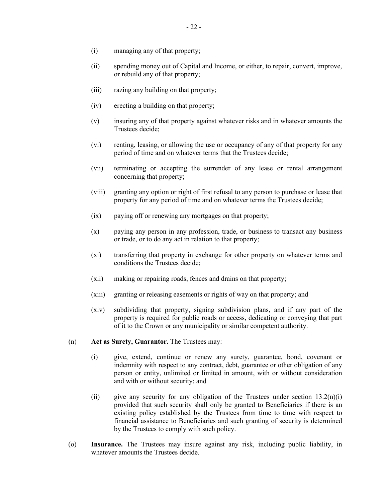- (i) managing any of that property;
- (ii) spending money out of Capital and Income, or either, to repair, convert, improve, or rebuild any of that property;
- (iii) razing any building on that property;
- (iv) erecting a building on that property;
- (v) insuring any of that property against whatever risks and in whatever amounts the Trustees decide;
- (vi) renting, leasing, or allowing the use or occupancy of any of that property for any period of time and on whatever terms that the Trustees decide;
- (vii) terminating or accepting the surrender of any lease or rental arrangement concerning that property;
- (viii) granting any option or right of first refusal to any person to purchase or lease that property for any period of time and on whatever terms the Trustees decide;
- (ix) paying off or renewing any mortgages on that property;
- (x) paying any person in any profession, trade, or business to transact any business or trade, or to do any act in relation to that property;
- (xi) transferring that property in exchange for other property on whatever terms and conditions the Trustees decide;
- (xii) making or repairing roads, fences and drains on that property;
- (xiii) granting or releasing easements or rights of way on that property; and
- (xiv) subdividing that property, signing subdivision plans, and if any part of the property is required for public roads or access, dedicating or conveying that part of it to the Crown or any municipality or similar competent authority.
- (n) **Act as Surety, Guarantor.** The Trustees may:
	- (i) give, extend, continue or renew any surety, guarantee, bond, covenant or indemnity with respect to any contract, debt, guarantee or other obligation of any person or entity, unlimited or limited in amount, with or without consideration and with or without security; and
	- (ii) give any security for any obligation of the Trustees under section  $13.2(n)(i)$ provided that such security shall only be granted to Beneficiaries if there is an existing policy established by the Trustees from time to time with respect to financial assistance to Beneficiaries and such granting of security is determined by the Trustees to comply with such policy.
- (o) **Insurance.** The Trustees may insure against any risk, including public liability, in whatever amounts the Trustees decide.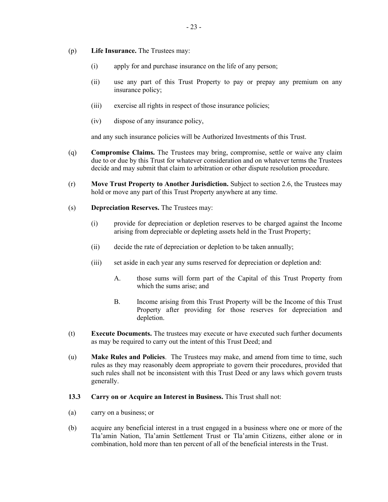- (p) **Life Insurance.** The Trustees may:
	- (i) apply for and purchase insurance on the life of any person;
	- (ii) use any part of this Trust Property to pay or prepay any premium on any insurance policy;
	- (iii) exercise all rights in respect of those insurance policies;
	- (iv) dispose of any insurance policy,

and any such insurance policies will be Authorized Investments of this Trust.

- (q) **Compromise Claims.** The Trustees may bring, compromise, settle or waive any claim due to or due by this Trust for whatever consideration and on whatever terms the Trustees decide and may submit that claim to arbitration or other dispute resolution procedure.
- (r) **Move Trust Property to Another Jurisdiction.** Subject to section [2.6,](#page-13-0) the Trustees may hold or move any part of this Trust Property anywhere at any time.
- (s) **Depreciation Reserves.** The Trustees may:
	- (i) provide for depreciation or depletion reserves to be charged against the Income arising from depreciable or depleting assets held in the Trust Property;
	- (ii) decide the rate of depreciation or depletion to be taken annually;
	- (iii) set aside in each year any sums reserved for depreciation or depletion and:
		- A. those sums will form part of the Capital of this Trust Property from which the sums arise; and
		- B. Income arising from this Trust Property will be the Income of this Trust Property after providing for those reserves for depreciation and depletion.
- (t) **Execute Documents.** The trustees may execute or have executed such further documents as may be required to carry out the intent of this Trust Deed; and
- (u) **Make Rules and Policies**. The Trustees may make, and amend from time to time, such rules as they may reasonably deem appropriate to govern their procedures, provided that such rules shall not be inconsistent with this Trust Deed or any laws which govern trusts generally.
- <span id="page-29-0"></span>**13.3 Carry on or Acquire an Interest in Business.** This Trust shall not:
- (a) carry on a business; or
- (b) acquire any beneficial interest in a trust engaged in a business where one or more of the Tla'amin Nation, Tla'amin Settlement Trust or Tla'amin Citizens, either alone or in combination, hold more than ten percent of all of the beneficial interests in the Trust.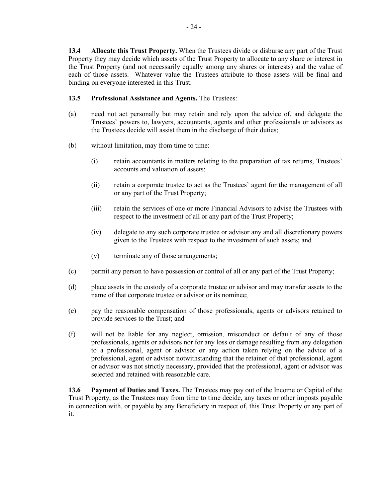**13.4 Allocate this Trust Property.** When the Trustees divide or disburse any part of the Trust Property they may decide which assets of the Trust Property to allocate to any share or interest in the Trust Property (and not necessarily equally among any shares or interests) and the value of each of those assets. Whatever value the Trustees attribute to those assets will be final and binding on everyone interested in this Trust.

## **13.5 Professional Assistance and Agents.** The Trustees:

- (a) need not act personally but may retain and rely upon the advice of, and delegate the Trustees' powers to, lawyers, accountants, agents and other professionals or advisors as the Trustees decide will assist them in the discharge of their duties;
- (b) without limitation, may from time to time:
	- (i) retain accountants in matters relating to the preparation of tax returns, Trustees' accounts and valuation of assets;
	- (ii) retain a corporate trustee to act as the Trustees' agent for the management of all or any part of the Trust Property;
	- (iii) retain the services of one or more Financial Advisors to advise the Trustees with respect to the investment of all or any part of the Trust Property;
	- (iv) delegate to any such corporate trustee or advisor any and all discretionary powers given to the Trustees with respect to the investment of such assets; and
	- (v) terminate any of those arrangements;
- (c) permit any person to have possession or control of all or any part of the Trust Property;
- (d) place assets in the custody of a corporate trustee or advisor and may transfer assets to the name of that corporate trustee or advisor or its nominee;
- (e) pay the reasonable compensation of those professionals, agents or advisors retained to provide services to the Trust; and
- (f) will not be liable for any neglect, omission, misconduct or default of any of those professionals, agents or advisors nor for any loss or damage resulting from any delegation to a professional, agent or advisor or any action taken relying on the advice of a professional, agent or advisor notwithstanding that the retainer of that professional, agent or advisor was not strictly necessary, provided that the professional, agent or advisor was selected and retained with reasonable care.

**13.6 Payment of Duties and Taxes.** The Trustees may pay out of the Income or Capital of the Trust Property, as the Trustees may from time to time decide, any taxes or other imposts payable in connection with, or payable by any Beneficiary in respect of, this Trust Property or any part of it.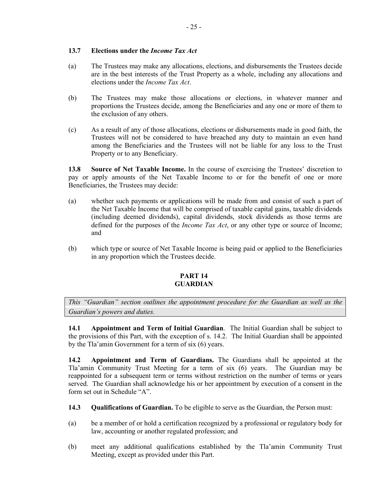## **13.7 Elections under the** *Income Tax Act*

- (a) The Trustees may make any allocations, elections, and disbursements the Trustees decide are in the best interests of the Trust Property as a whole, including any allocations and elections under the *Income Tax Act*.
- (b) The Trustees may make those allocations or elections, in whatever manner and proportions the Trustees decide, among the Beneficiaries and any one or more of them to the exclusion of any others.
- (c) As a result of any of those allocations, elections or disbursements made in good faith, the Trustees will not be considered to have breached any duty to maintain an even hand among the Beneficiaries and the Trustees will not be liable for any loss to the Trust Property or to any Beneficiary.

**13.8 Source of Net Taxable Income.** In the course of exercising the Trustees' discretion to pay or apply amounts of the Net Taxable Income to or for the benefit of one or more Beneficiaries, the Trustees may decide:

- (a) whether such payments or applications will be made from and consist of such a part of the Net Taxable Income that will be comprised of taxable capital gains, taxable dividends (including deemed dividends), capital dividends, stock dividends as those terms are defined for the purposes of the *Income Tax Act*, or any other type or source of Income; and
- (b) which type or source of Net Taxable Income is being paid or applied to the Beneficiaries in any proportion which the Trustees decide.

## **PART 14 GUARDIAN**

<span id="page-31-0"></span>*This "Guardian" section outlines the appointment procedure for the Guardian as well as the Guardian's powers and duties.*

<span id="page-31-2"></span>**14.1 Appointment and Term of Initial Guardian**. The Initial Guardian shall be subject to the provisions of this Part, with the exception of s. 14.2. The Initial Guardian shall be appointed by the Tla'amin Government for a term of six (6) years.

**14.2 Appointment and Term of Guardians.** The Guardians shall be appointed at the Tla'amin Community Trust Meeting for a term of six (6) years. The Guardian may be reappointed for a subsequent term or terms without restriction on the number of terms or years served. The Guardian shall acknowledge his or her appointment by execution of a consent in the form set out in Schedule "A".

- <span id="page-31-1"></span>**14.3 Qualifications of Guardian.** To be eligible to serve as the Guardian, the Person must:
- (a) be a member of or hold a certification recognized by a professional or regulatory body for law, accounting or another regulated profession; and
- (b) meet any additional qualifications established by the Tla'amin Community Trust Meeting, except as provided under this Part.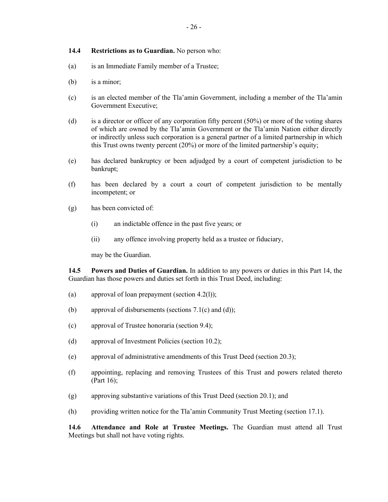#### <span id="page-32-0"></span>**14.4 Restrictions as to Guardian.** No person who:

- (a) is an Immediate Family member of a Trustee;
- (b) is a minor;
- (c) is an elected member of the Tla'amin Government, including a member of the Tla'amin Government Executive;
- (d) is a director or officer of any corporation fifty percent (50%) or more of the voting shares of which are owned by the Tla'amin Government or the Tla'amin Nation either directly or indirectly unless such corporation is a general partner of a limited partnership in which this Trust owns twenty percent (20%) or more of the limited partnership's equity;
- (e) has declared bankruptcy or been adjudged by a court of competent jurisdiction to be bankrupt;
- (f) has been declared by a court a court of competent jurisdiction to be mentally incompetent; or
- (g) has been convicted of:
	- (i) an indictable offence in the past five years; or
	- (ii) any offence involving property held as a trustee or fiduciary,

may be the Guardian.

**14.5 Powers and Duties of Guardian.** In addition to any powers or duties in this [Part](#page-31-0) 14, the Guardian has those powers and duties set forth in this Trust Deed, including:

- (a) approval of loan prepayment (section 4.2(1));
- (b) approval of disbursements (sections  $7.1(c)$  and [\(d\)](#page-15-2));
- (c) approval of Trustee honoraria (section [9.4](#page-17-0));
- (d) approval of Investment Policies (section [10.2](#page-19-0));
- (e) approval of administrative amendments of this Trust Deed (section [20.3](#page-43-0));
- (f) appointing, replacing and removing Trustees of this Trust and powers related thereto [\(Part](#page-36-0) 16);
- (g) approving substantive variations of this Trust Deed (section [20.1\)](#page-42-0); and
- (h) providing written notice for the Tla'amin Community Trust Meeting (section 17.1).

**14.6 Attendance and Role at Trustee Meetings.** The Guardian must attend all Trust Meetings but shall not have voting rights.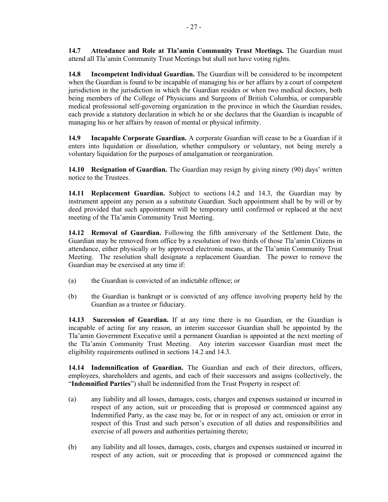**14.8 Incompetent Individual Guardian.** The Guardian will be considered to be incompetent when the Guardian is found to be incapable of managing his or her affairs by a court of competent jurisdiction in the jurisdiction in which the Guardian resides or when two medical doctors, both being members of the College of Physicians and Surgeons of British Columbia, or comparable medical professional self-governing organization in the province in which the Guardian resides, each provide a statutory declaration in which he or she declares that the Guardian is incapable of managing his or her affairs by reason of mental or physical infirmity.

**14.9 Incapable Corporate Guardian.** A corporate Guardian will cease to be a Guardian if it enters into liquidation or dissolution, whether compulsory or voluntary, not being merely a voluntary liquidation for the purposes of amalgamation or reorganization.

**14.10 Resignation of Guardian.** The Guardian may resign by giving ninety (90) days' written notice to the Trustees.

<span id="page-33-1"></span>**14.11 Replacement Guardian.** Subject to sections [14.2](#page-31-1) and [14.3,](#page-32-0) the Guardian may by instrument appoint any person as a substitute Guardian. Such appointment shall be by will or by deed provided that such appointment will be temporary until confirmed or replaced at the next meeting of the Tla'amin Community Trust Meeting.

**14.12 Removal of Guardian.** Following the fifth anniversary of the Settlement Date, the Guardian may be removed from office by a resolution of two thirds of those Tla'amin Citizens in attendance, either physically or by approved electronic means, at the Tla'amin Community Trust Meeting. The resolution shall designate a replacement Guardian. The power to remove the Guardian may be exercised at any time if:

- (a) the Guardian is convicted of an indictable offence; or
- (b) the Guardian is bankrupt or is convicted of any offence involving property held by the Guardian as a trustee or fiduciary.

**14.13 Succession of Guardian.** If at any time there is no Guardian, or the Guardian is incapable of acting for any reason, an interim successor Guardian shall be appointed by the Tla'amin Government Executive until a permanent Guardian is appointed at the next meeting of the Tla'amin Community Trust Meeting. Any interim successor Guardian must meet the eligibility requirements outlined in sections [14.2](#page-31-1) and [14.3.](#page-32-0)

<span id="page-33-0"></span>**14.14 Indemnification of Guardian.** The Guardian and each of their directors, officers, employees, shareholders and agents, and each of their successors and assigns (collectively, the "**Indemnified Parties**") shall be indemnified from the Trust Property in respect of:

- (a) any liability and all losses, damages, costs, charges and expenses sustained or incurred in respect of any action, suit or proceeding that is proposed or commenced against any Indemnified Party, as the case may be, for or in respect of any act, omission or error in respect of this Trust and such person's execution of all duties and responsibilities and exercise of all powers and authorities pertaining thereto;
- (b) any liability and all losses, damages, costs, charges and expenses sustained or incurred in respect of any action, suit or proceeding that is proposed or commenced against the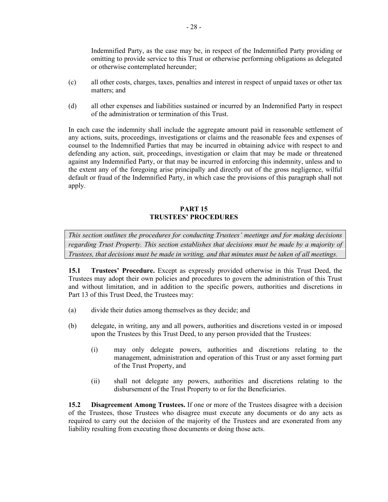Indemnified Party, as the case may be, in respect of the Indemnified Party providing or omitting to provide service to this Trust or otherwise performing obligations as delegated or otherwise contemplated hereunder;

- (c) all other costs, charges, taxes, penalties and interest in respect of unpaid taxes or other tax matters; and
- (d) all other expenses and liabilities sustained or incurred by an Indemnified Party in respect of the administration or termination of this Trust.

In each case the indemnity shall include the aggregate amount paid in reasonable settlement of any actions, suits, proceedings, investigations or claims and the reasonable fees and expenses of counsel to the Indemnified Parties that may be incurred in obtaining advice with respect to and defending any action, suit, proceedings, investigation or claim that may be made or threatened against any Indemnified Party, or that may be incurred in enforcing this indemnity, unless and to the extent any of the foregoing arise principally and directly out of the gross negligence, wilful default or fraud of the Indemnified Party, in which case the provisions of this paragraph shall not apply.

#### **PART 15 TRUSTEES' PROCEDURES**

*This section outlines the procedures for conducting Trustees' meetings and for making decisions regarding Trust Property. This section establishes that decisions must be made by a majority of Trustees, that decisions must be made in writing, and that minutes must be taken of all meetings.*

**15.1 Trustees' Procedure.** Except as expressly provided otherwise in this Trust Deed, the Trustees may adopt their own policies and procedures to govern the administration of this Trust and without limitation, and in addition to the specific powers, authorities and discretions in [Part](#page-25-0) 13 of this Trust Deed, the Trustees may:

- (a) divide their duties among themselves as they decide; and
- (b) delegate, in writing, any and all powers, authorities and discretions vested in or imposed upon the Trustees by this Trust Deed, to any person provided that the Trustees:
	- (i) may only delegate powers, authorities and discretions relating to the management, administration and operation of this Trust or any asset forming part of the Trust Property, and
	- (ii) shall not delegate any powers, authorities and discretions relating to the disbursement of the Trust Property to or for the Beneficiaries.

**15.2 Disagreement Among Trustees.** If one or more of the Trustees disagree with a decision of the Trustees, those Trustees who disagree must execute any documents or do any acts as required to carry out the decision of the majority of the Trustees and are exonerated from any liability resulting from executing those documents or doing those acts.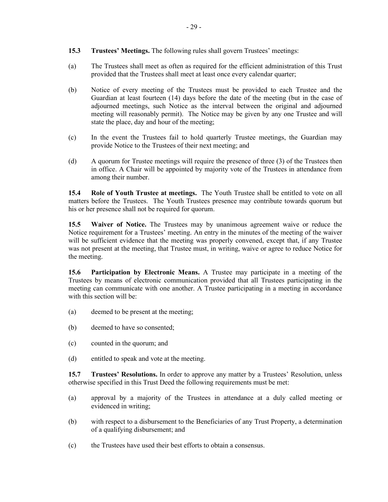- **15.3 Trustees' Meetings.** The following rules shall govern Trustees' meetings:
- (a) The Trustees shall meet as often as required for the efficient administration of this Trust provided that the Trustees shall meet at least once every calendar quarter;
- (b) Notice of every meeting of the Trustees must be provided to each Trustee and the Guardian at least fourteen (14) days before the date of the meeting (but in the case of adjourned meetings, such Notice as the interval between the original and adjourned meeting will reasonably permit). The Notice may be given by any one Trustee and will state the place, day and hour of the meeting;
- (c) In the event the Trustees fail to hold quarterly Trustee meetings, the Guardian may provide Notice to the Trustees of their next meeting; and
- (d) A quorum for Trustee meetings will require the presence of three (3) of the Trustees then in office. A Chair will be appointed by majority vote of the Trustees in attendance from among their number.

**15.4 Role of Youth Trustee at meetings.** The Youth Trustee shall be entitled to vote on all matters before the Trustees. The Youth Trustees presence may contribute towards quorum but his or her presence shall not be required for quorum.

**15.5 Waiver of Notice.** The Trustees may by unanimous agreement waive or reduce the Notice requirement for a Trustees' meeting. An entry in the minutes of the meeting of the waiver will be sufficient evidence that the meeting was properly convened, except that, if any Trustee was not present at the meeting, that Trustee must, in writing, waive or agree to reduce Notice for the meeting.

**15.6 Participation by Electronic Means.** A Trustee may participate in a meeting of the Trustees by means of electronic communication provided that all Trustees participating in the meeting can communicate with one another. A Trustee participating in a meeting in accordance with this section will be:

- (a) deemed to be present at the meeting;
- (b) deemed to have so consented;
- (c) counted in the quorum; and
- <span id="page-35-0"></span>(d) entitled to speak and vote at the meeting.

**15.7 Trustees' Resolutions.** In order to approve any matter by a Trustees' Resolution, unless otherwise specified in this Trust Deed the following requirements must be met:

- (a) approval by a majority of the Trustees in attendance at a duly called meeting or evidenced in writing;
- (b) with respect to a disbursement to the Beneficiaries of any Trust Property, a determination of a qualifying disbursement; and
- (c) the Trustees have used their best efforts to obtain a consensus.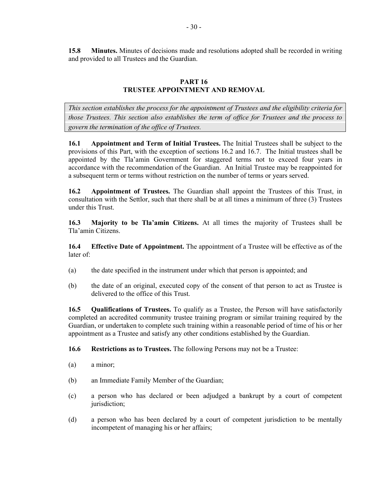**15.8 Minutes.** Minutes of decisions made and resolutions adopted shall be recorded in writing and provided to all Trustees and the Guardian.

## **PART 16 TRUSTEE APPOINTMENT AND REMOVAL**

<span id="page-36-0"></span>*This section establishes the process for the appointment of Trustees and the eligibility criteria for those Trustees. This section also establishes the term of office for Trustees and the process to govern the termination of the office of Trustees.* 

**16.1 Appointment and Term of Initial Trustees.** The Initial Trustees shall be subject to the provisions of this Part, with the exception of sections 16.2 and 16.7. The Initial trustees shall be appointed by the Tla'amin Government for staggered terms not to exceed four years in accordance with the recommendation of the Guardian. An Initial Trustee may be reappointed for a subsequent term or terms without restriction on the number of terms or years served.

**16.2 Appointment of Trustees.** The Guardian shall appoint the Trustees of this Trust, in consultation with the Settlor, such that there shall be at all times a minimum of three (3) Trustees under this Trust.

<span id="page-36-1"></span>**16.3 Majority to be Tla'amin Citizens.** At all times the majority of Trustees shall be Tla'amin Citizens.

**16.4 Effective Date of Appointment.** The appointment of a Trustee will be effective as of the later of:

- (a) the date specified in the instrument under which that person is appointed; and
- (b) the date of an original, executed copy of the consent of that person to act as Trustee is delivered to the office of this Trust.

**16.5 Qualifications of Trustees.** To qualify as a Trustee, the Person will have satisfactorily completed an accredited community trustee training program or similar training required by the Guardian, or undertaken to complete such training within a reasonable period of time of his or her appointment as a Trustee and satisfy any other conditions established by the Guardian.

**16.6 Restrictions as to Trustees.** The following Persons may not be a Trustee:

- (a) a minor;
- (b) an Immediate Family Member of the Guardian;
- (c) a person who has declared or been adjudged a bankrupt by a court of competent jurisdiction;
- (d) a person who has been declared by a court of competent jurisdiction to be mentally incompetent of managing his or her affairs;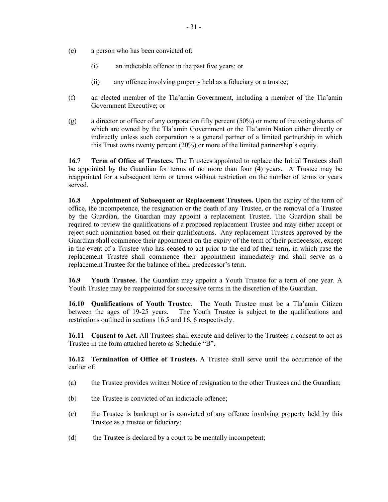- (e) a person who has been convicted of:
	- (i) an indictable offence in the past five years; or
	- (ii) any offence involving property held as a fiduciary or a trustee;
- (f) an elected member of the Tla'amin Government, including a member of the Tla'amin Government Executive; or
- (g) a director or officer of any corporation fifty percent (50%) or more of the voting shares of which are owned by the Tla'amin Government or the Tla'amin Nation either directly or indirectly unless such corporation is a general partner of a limited partnership in which this Trust owns twenty percent (20%) or more of the limited partnership's equity.

**16.7 Term of Office of Trustees.** The Trustees appointed to replace the Initial Trustees shall be appointed by the Guardian for terms of no more than four (4) years. A Trustee may be reappointed for a subsequent term or terms without restriction on the number of terms or years served.

**16.8 Appointment of Subsequent or Replacement Trustees.** Upon the expiry of the term of office, the incompetence, the resignation or the death of any Trustee, or the removal of a Trustee by the Guardian, the Guardian may appoint a replacement Trustee. The Guardian shall be required to review the qualifications of a proposed replacement Trustee and may either accept or reject such nomination based on their qualifications. Any replacement Trustees approved by the Guardian shall commence their appointment on the expiry of the term of their predecessor, except in the event of a Trustee who has ceased to act prior to the end of their term, in which case the replacement Trustee shall commence their appointment immediately and shall serve as a replacement Trustee for the balance of their predecessor's term.

**16.9 Youth Trustee.** The Guardian may appoint a Youth Trustee for a term of one year. A Youth Trustee may be reappointed for successive terms in the discretion of the Guardian.

**16.10 Qualifications of Youth Trustee**. The Youth Trustee must be a Tla'amin Citizen between the ages of 19-25 years. The Youth Trustee is subject to the qualifications and restrictions outlined in sections 16.5 and 16. 6 respectively.

**16.11 Consent to Act.** All Trustees shall execute and deliver to the Trustees a consent to act as Trustee in the form attached hereto as Schedule "B".

**16.12 Termination of Office of Trustees.** A Trustee shall serve until the occurrence of the earlier of:

- (a) the Trustee provides written Notice of resignation to the other Trustees and the Guardian;
- (b) the Trustee is convicted of an indictable offence;
- (c) the Trustee is bankrupt or is convicted of any offence involving property held by this Trustee as a trustee or fiduciary;
- (d) the Trustee is declared by a court to be mentally incompetent;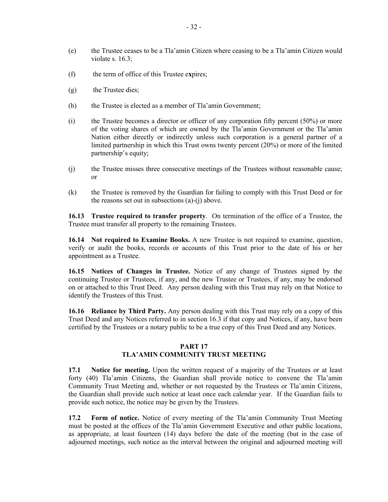- (e) the Trustee ceases to be a Tla'amin Citizen where ceasing to be a Tla'amin Citizen would violate s. 16.3;
- (f) the term of office of this Trustee e**x**pires;
- (g) the Trustee dies;
- (h) the Trustee is elected as a member of Tla'amin Government;
- (i) the Trustee becomes a director or officer of any corporation fifty percent  $(50%)$  or more of the voting shares of which are owned by the Tla'amin Government or the Tla'amin Nation either directly or indirectly unless such corporation is a general partner of a limited partnership in which this Trust owns twenty percent (20%) or more of the limited partnership's equity;
- (j) the Trustee misses three consecutive meetings of the Trustees without reasonable cause; or
- (k) the Trustee is removed by the Guardian for failing to comply with this Trust Deed or for the reasons set out in subsections (a)-(j) above.

**16.13 Trustee required to transfer property**. On termination of the office of a Trustee, the Trustee must transfer all property to the remaining Trustees.

**16.14 Not required to Examine Books.** A new Trustee is not required to examine, question, verify or audit the books, records or accounts of this Trust prior to the date of his or her appointment as a Trustee.

**16.15 Notices of Changes in Trustee.** Notice of any change of Trustees signed by the continuing Trustee or Trustees, if any, and the new Trustee or Trustees, if any, may be endorsed on or attached to this Trust Deed. Any person dealing with this Trust may rely on that Notice to identify the Trustees of this Trust.

<span id="page-38-0"></span>**16.16 Reliance by Third Party.** Any person dealing with this Trust may rely on a copy of this Trust Deed and any Notices referred to in section [16.3](#page-36-1) if that copy and Notices, if any, have been certified by the Trustees or a notary public to be a true copy of this Trust Deed and any Notices.

#### **PART 17**

#### **TLA'AMIN COMMUNITY TRUST MEETING**

**17.1 Notice for meeting.** Upon the written request of a majority of the Trustees or at least forty (40) Tla'amin Citizens, the Guardian shall provide notice to convene the Tla'amin Community Trust Meeting and, whether or not requested by the Trustees or Tla'amin Citizens, the Guardian shall provide such notice at least once each calendar year. If the Guardian fails to provide such notice, the notice may be given by the Trustees.

**17.2 Form of notice.** Notice of every meeting of the Tla'amin Community Trust Meeting must be posted at the offices of the Tla'amin Government Executive and other public locations, as appropriate, at least fourteen (14) days before the date of the meeting (but in the case of adjourned meetings, such notice as the interval between the original and adjourned meeting will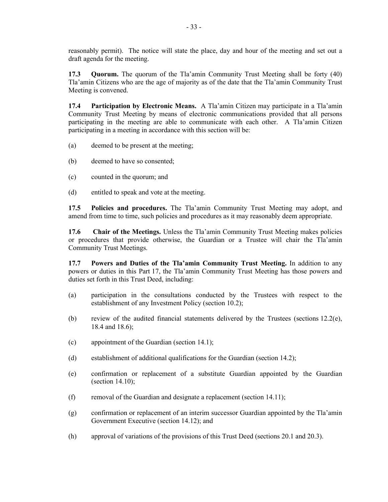reasonably permit). The notice will state the place, day and hour of the meeting and set out a draft agenda for the meeting.

**17.3 Quorum.** The quorum of the Tla'amin Community Trust Meeting shall be forty (40) Tla'amin Citizens who are the age of majority as of the date that the Tla'amin Community Trust Meeting is convened.

**17.4 Participation by Electronic Means.** A Tla'amin Citizen may participate in a Tla'amin Community Trust Meeting by means of electronic communications provided that all persons participating in the meeting are able to communicate with each other. A Tla'amin Citizen participating in a meeting in accordance with this section will be:

- (a) deemed to be present at the meeting;
- (b) deemed to have so consented;
- (c) counted in the quorum; and
- (d) entitled to speak and vote at the meeting.

**17.5 Policies and procedures.** The Tla'amin Community Trust Meeting may adopt, and amend from time to time, such policies and procedures as it may reasonably deem appropriate.

**17.6 Chair of the Meetings.** Unless the Tla'amin Community Trust Meeting makes policies or procedures that provide otherwise, the Guardian or a Trustee will chair the Tla'amin Community Trust Meetings.

**17.7 Powers and Duties of the Tla'amin Community Trust Meeting.** In addition to any powers or duties in this [Part](#page-38-0) 17, the Tla'amin Community Trust Meeting has those powers and duties set forth in this Trust Deed, including:

- (a) participation in the consultations conducted by the Trustees with respect to the establishment of any Investment Policy (section [10.2](#page-19-0));
- (b) review of the audited financial statements delivered by the Trustees (sections  $12.2(e)$ , [18.4](#page-40-1) and [18.6](#page-40-2));
- (c) appointment of the Guardian (section [14.1](#page-31-2));
- (d) establishment of additional qualifications for the Guardian (section [14.2](#page-31-1));
- (e) confirmation or replacement of a substitute Guardian appointed by the Guardian (section [14.10](#page-33-1));
- (f) removal of the Guardian and designate a replacement (section 14.11);
- (g) confirmation or replacement of an interim successor Guardian appointed by the Tla'amin Government Executive (section 14.12); and
- (h) approval of variations of the provisions of this Trust Deed (sections [20.1](#page-42-0) and [20.3\)](#page-43-0).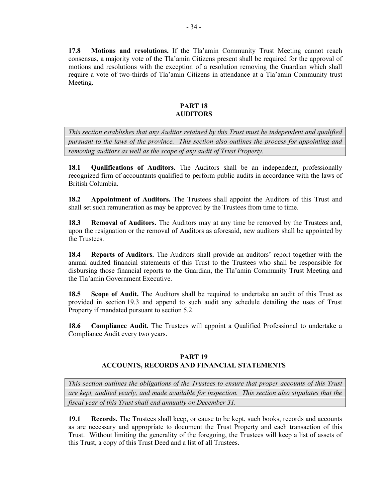<span id="page-40-3"></span>**17.8 Motions and resolutions.** If the Tla'amin Community Trust Meeting cannot reach consensus, a majority vote of the Tla'amin Citizens present shall be required for the approval of motions and resolutions with the exception of a resolution removing the Guardian which shall require a vote of two-thirds of Tla'amin Citizens in attendance at a Tla'amin Community trust Meeting.

#### **PART 18 AUDITORS**

<span id="page-40-0"></span>*This section establishes that any Auditor retained by this Trust must be independent and qualified pursuant to the laws of the province. This section also outlines the process for appointing and removing auditors as well as the scope of any audit of Trust Property.*

**18.1 Qualifications of Auditors.** The Auditors shall be an independent, professionally recognized firm of accountants qualified to perform public audits in accordance with the laws of British Columbia.

**18.2 Appointment of Auditors.** The Trustees shall appoint the Auditors of this Trust and shall set such remuneration as may be approved by the Trustees from time to time.

**18.3 Removal of Auditors.** The Auditors may at any time be removed by the Trustees and, upon the resignation or the removal of Auditors as aforesaid, new auditors shall be appointed by the Trustees.

<span id="page-40-1"></span>**18.4 Reports of Auditors.** The Auditors shall provide an auditors' report together with the annual audited financial statements of this Trust to the Trustees who shall be responsible for disbursing those financial reports to the Guardian, the Tla'amin Community Trust Meeting and the Tla'amin Government Executive.

**18.5 Scope of Audit.** The Auditors shall be required to undertake an audit of this Trust as provided in section [19.3](#page-41-0) and append to such audit any schedule detailing the uses of Trust Property if mandated pursuant to section [5.2.](#page-14-3)

<span id="page-40-2"></span>**18.6 Compliance Audit.** The Trustees will appoint a Qualified Professional to undertake a Compliance Audit every two years.

#### **PART 19 ACCOUNTS, RECORDS AND FINANCIAL STATEMENTS**

*This section outlines the obligations of the Trustees to ensure that proper accounts of this Trust are kept, audited yearly, and made available for inspection. This section also stipulates that the fiscal year of this Trust shall end annually on December 31.*

**19.1 Records.** The Trustees shall keep, or cause to be kept, such books, records and accounts as are necessary and appropriate to document the Trust Property and each transaction of this Trust. Without limiting the generality of the foregoing, the Trustees will keep a list of assets of this Trust, a copy of this Trust Deed and a list of all Trustees.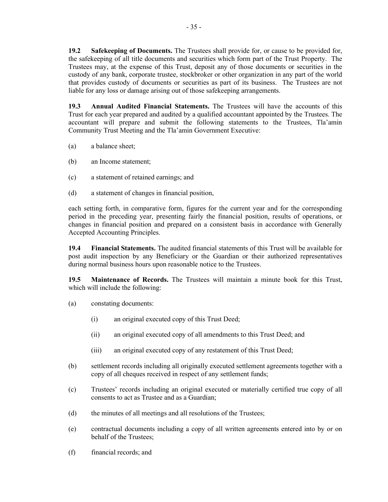**19.2 Safekeeping of Documents.** The Trustees shall provide for, or cause to be provided for, the safekeeping of all title documents and securities which form part of the Trust Property. The Trustees may, at the expense of this Trust, deposit any of those documents or securities in the custody of any bank, corporate trustee, stockbroker or other organization in any part of the world that provides custody of documents or securities as part of its business. The Trustees are not liable for any loss or damage arising out of those safekeeping arrangements.

<span id="page-41-0"></span>**19.3 Annual Audited Financial Statements.** The Trustees will have the accounts of this Trust for each year prepared and audited by a qualified accountant appointed by the Trustees. The accountant will prepare and submit the following statements to the Trustees, Tla'amin Community Trust Meeting and the Tla'amin Government Executive:

- (a) a balance sheet;
- (b) an Income statement;
- (c) a statement of retained earnings; and
- (d) a statement of changes in financial position,

each setting forth, in comparative form, figures for the current year and for the corresponding period in the preceding year, presenting fairly the financial position, results of operations, or changes in financial position and prepared on a consistent basis in accordance with Generally Accepted Accounting Principles.

**19.4 Financial Statements.** The audited financial statements of this Trust will be available for post audit inspection by any Beneficiary or the Guardian or their authorized representatives during normal business hours upon reasonable notice to the Trustees.

**19.5 Maintenance of Records.** The Trustees will maintain a minute book for this Trust, which will include the following:

- (a) constating documents:
	- (i) an original executed copy of this Trust Deed;
	- (ii) an original executed copy of all amendments to this Trust Deed; and
	- (iii) an original executed copy of any restatement of this Trust Deed;
- (b) settlement records including all originally executed settlement agreements together with a copy of all cheques received in respect of any settlement funds;
- (c) Trustees' records including an original executed or materially certified true copy of all consents to act as Trustee and as a Guardian;
- (d) the minutes of all meetings and all resolutions of the Trustees;
- (e) contractual documents including a copy of all written agreements entered into by or on behalf of the Trustees;
- (f) financial records; and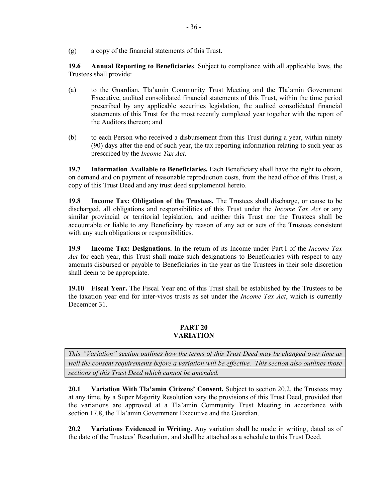(g) a copy of the financial statements of this Trust.

**19.6 Annual Reporting to Beneficiaries**. Subject to compliance with all applicable laws, the Trustees shall provide:

- (a) to the Guardian, Tla'amin Community Trust Meeting and the Tla'amin Government Executive, audited consolidated financial statements of this Trust, within the time period prescribed by any applicable securities legislation, the audited consolidated financial statements of this Trust for the most recently completed year together with the report of the Auditors thereon; and
- (b) to each Person who received a disbursement from this Trust during a year, within ninety (90) days after the end of such year, the tax reporting information relating to such year as prescribed by the *Income Tax Act*.

**19.7 Information Available to Beneficiaries.** Each Beneficiary shall have the right to obtain, on demand and on payment of reasonable reproduction costs, from the head office of this Trust, a copy of this Trust Deed and any trust deed supplemental hereto.

**19.8 Income Tax: Obligation of the Trustees.** The Trustees shall discharge, or cause to be discharged, all obligations and responsibilities of this Trust under the *Income Tax Act* or any similar provincial or territorial legislation, and neither this Trust nor the Trustees shall be accountable or liable to any Beneficiary by reason of any act or acts of the Trustees consistent with any such obligations or responsibilities.

**19.9 Income Tax: Designations.** In the return of its Income under Part I of the *Income Tax Act* for each year, this Trust shall make such designations to Beneficiaries with respect to any amounts disbursed or payable to Beneficiaries in the year as the Trustees in their sole discretion shall deem to be appropriate.

**19.10 Fiscal Year.** The Fiscal Year end of this Trust shall be established by the Trustees to be the taxation year end for inter-vivos trusts as set under the *Income Tax Act*, which is currently December 31.

## **PART 20 VARIATION**

*This "Variation" section outlines how the terms of this Trust Deed may be changed over time as well the consent requirements before a variation will be effective. This section also outlines those sections of this Trust Deed which cannot be amended.*

<span id="page-42-0"></span>**20.1 Variation With Tla'amin Citizens' Consent.** Subject to section [20.2,](#page-42-1) the Trustees may at any time, by a Super Majority Resolution vary the provisions of this Trust Deed, provided that the variations are approved at a Tla'amin Community Trust Meeting in accordance with section [17.8](#page-40-3), the Tla'amin Government Executive and the Guardian.

<span id="page-42-1"></span>**20.2 Variations Evidenced in Writing.** Any variation shall be made in writing, dated as of the date of the Trustees' Resolution, and shall be attached as a schedule to this Trust Deed.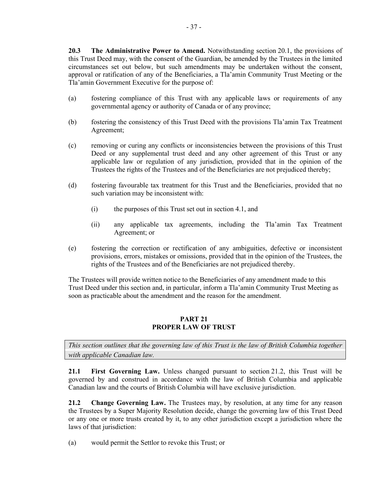<span id="page-43-0"></span>**20.3 The Administrative Power to Amend.** Notwithstanding section 20.1, the provisions of this Trust Deed may, with the consent of the Guardian, be amended by th[e Trus](#page-42-0)tees in the limited circumstances set out below, but such amendments may be undertaken without the consent, approval or ratification of any of the Beneficiaries, a Tla'amin Community Trust Meeting or the Tla'amin Government Executive for the purpose of:

- (a) fostering compliance of this Trust with any applicable laws or requirements of any governmental agency or authority of Canada or of any province;
- (b) fostering the consistency of this Trust Deed with the provisions Tla'amin Tax Treatment Agreement;
- (c) removing or curing any conflicts or inconsistencies between the provisions of this Trust Deed or any supplemental trust deed and any other agreement of this Trust or any applicable law or regulation of any jurisdiction, provided that in the opinion of the Trustees the rights of the Trustees and of the Beneficiaries are not prejudiced thereby;
- (d) fostering favourable tax treatment for this Trust and the Beneficiaries, provided that no such variation may be inconsistent with:
	- (i) the purposes of this Trust set out in section [4.1,](#page-13-1) and
	- (ii) any applicable tax agreements, including the Tla'amin Tax Treatment Agreement; or
- (e) fostering the correction or rectification of any ambiguities, defective or inconsistent provisions, errors, mistakes or omissions, provided that in the opinion of the Trustees, the rights of the Trustees and of the Beneficiaries are not prejudiced thereby.

The Trustees will provide written notice to the Beneficiaries of any amendment made to this Trust Deed under this section and, in particular, inform a Tla'amin Community Trust Meeting as soon as practicable about the amendment and the reason for the amendment.

### **PART 21 PROPER LAW OF TRUST**

*This section outlines that the governing law of this Trust is the law of British Columbia together with applicable Canadian law.*

**21.1 First Governing Law.** Unless changed pursuant to section [21.2](#page-43-1), this Trust will be governed by and construed in accordance with the law of British Columbia and applicable Canadian law and the courts of British Columbia will have exclusive jurisdiction.

<span id="page-43-1"></span>**21.2 Change Governing Law.** The Trustees may, by resolution, at any time for any reason the Trustees by a Super Majority Resolution decide, change the governing law of this Trust Deed or any one or more trusts created by it, to any other jurisdiction except a jurisdiction where the laws of that jurisdiction:

(a) would permit the Settlor to revoke this Trust; or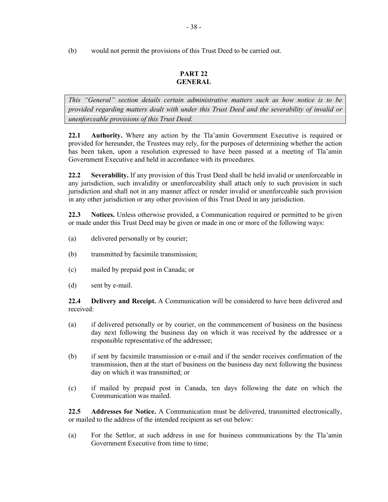## **PART 22 GENERAL**

*This "General" section details certain administrative matters such as how notice is to be provided regarding matters dealt with under this Trust Deed and the severability of invalid or unenforceable provisions of this Trust Deed.*

**22.1 Authority.** Where any action by the Tla'amin Government Executive is required or provided for hereunder, the Trustees may rely, for the purposes of determining whether the action has been taken, upon a resolution expressed to have been passed at a meeting of Tla'amin Government Executive and held in accordance with its procedures.

**22.2 Severability.** If any provision of this Trust Deed shall be held invalid or unenforceable in any jurisdiction, such invalidity or unenforceability shall attach only to such provision in such jurisdiction and shall not in any manner affect or render invalid or unenforceable such provision in any other jurisdiction or any other provision of this Trust Deed in any jurisdiction.

<span id="page-44-0"></span>**22.3 Notices.** Unless otherwise provided, a Communication required or permitted to be given or made under this Trust Deed may be given or made in one or more of the following ways:

- (a) delivered personally or by courier;
- (b) transmitted by facsimile transmission;
- (c) mailed by prepaid post in Canada; or
- (d) sent by e-mail.

**22.4 Delivery and Receipt.** A Communication will be considered to have been delivered and received:

- (a) if delivered personally or by courier, on the commencement of business on the business day next following the business day on which it was received by the addressee or a responsible representative of the addressee;
- (b) if sent by facsimile transmission or e-mail and if the sender receives confirmation of the transmission, then at the start of business on the business day next following the business day on which it was transmitted; or
- (c) if mailed by prepaid post in Canada, ten days following the date on which the Communication was mailed.

**22.5 Addresses for Notice.** A Communication must be delivered, transmitted electronically, or mailed to the address of the intended recipient as set out below:

(a) For the Settlor, at such address in use for business communications by the Tla'amin Government Executive from time to time;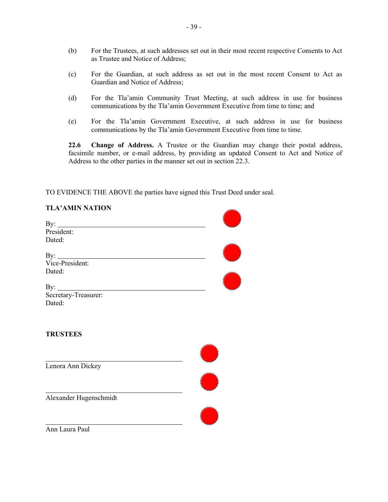- (b) For the Trustees, at such addresses set out in their most recent respective Consents to Act as Trustee and Notice of Address;
- (c) For the Guardian, at such address as set out in the most recent Consent to Act as Guardian and Notice of Address;
- (d) For the Tla'amin Community Trust Meeting, at such address in use for business communications by the Tla'amin Government Executive from time to time; and
- (e) For the Tla'amin Government Executive, at such address in use for business communications by the Tla'amin Government Executive from time to time.

**22.6 Change of Address.** A Trustee or the Guardian may change their postal address, facsimile number, or e-mail address, by providing an updated Consent to Act and Notice of Address to the other parties in the manner set out in section [22.3.](#page-44-0)

TO EVIDENCE THE ABOVE the parties have signed this Trust Deed under seal.

| <b>TLA' AMIN NATION</b> |  |
|-------------------------|--|
|                         |  |
|                         |  |
| President:              |  |
| Dated:                  |  |
|                         |  |
| By: Vice-President:     |  |
|                         |  |
| Dated:                  |  |
|                         |  |
| By: $\qquad \qquad$     |  |
| Secretary-Treasurer:    |  |
| Dated:                  |  |
|                         |  |
|                         |  |
|                         |  |
| <b>TRUSTEES</b>         |  |
|                         |  |
|                         |  |
|                         |  |
| Lenora Ann Dickey       |  |
|                         |  |
|                         |  |
|                         |  |
| Alexander Hugenschmidt  |  |
|                         |  |
|                         |  |
|                         |  |
| Ann Laura Paul          |  |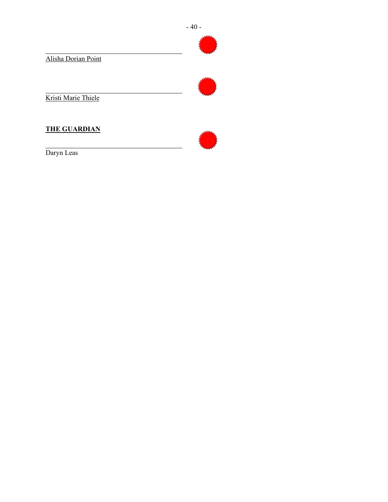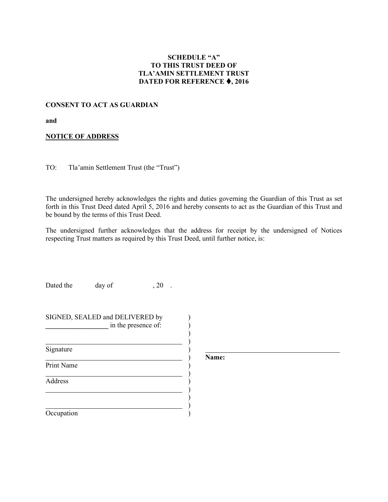## **SCHEDULE "A" TO THIS TRUST DEED OF TLA'AMIN SETTLEMENT TRUST DATED FOR REFERENCE , 2016**

## **CONSENT TO ACT AS GUARDIAN**

**and**

#### **NOTICE OF ADDRESS**

TO: Tla'amin Settlement Trust (the "Trust")

The undersigned hereby acknowledges the rights and duties governing the Guardian of this Trust as set forth in this Trust Deed dated April 5, 2016 and hereby consents to act as the Guardian of this Trust and be bound by the terms of this Trust Deed.

The undersigned further acknowledges that the address for receipt by the undersigned of Notices respecting Trust matters as required by this Trust Deed, until further notice, is:

Dated the day of , 20.

| SIGNED, SEALED and DELIVERED by<br>in the presence of: |  |
|--------------------------------------------------------|--|
| Signature                                              |  |
| <b>Print Name</b>                                      |  |
| Address                                                |  |
|                                                        |  |
| Occupation                                             |  |

**Name:**